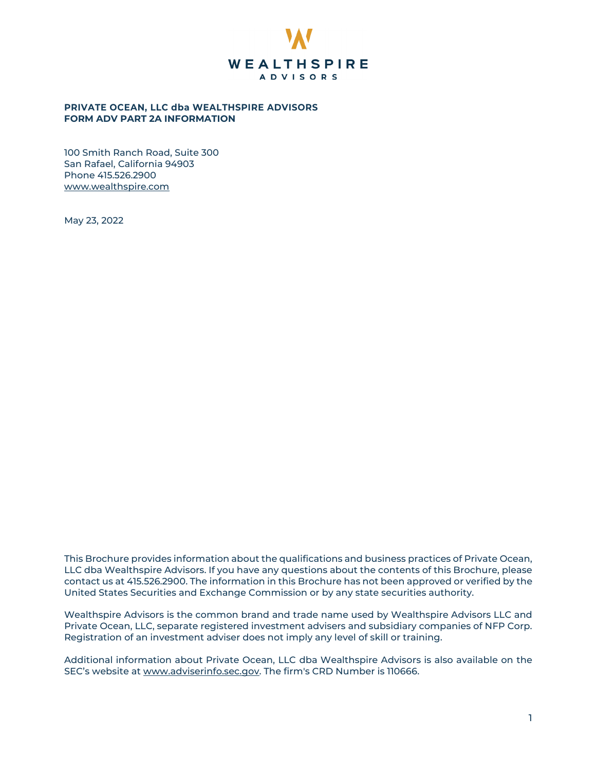

# **PRIVATE OCEAN, LLC dba WEALTHSPIRE ADVISORS FORM ADV PART 2A INFORMATION**

100 Smith Ranch Road, Suite 300 San Rafael, California 94903 Phone 415.526.2900 [www.wealthspire.com](http://www.wealthspire.com/)

May 23, 2022

This Brochure provides information about the qualifications and business practices of Private Ocean, LLC dba Wealthspire Advisors. If you have any questions about the contents of this Brochure, please contact us at 415.526.2900. The information in this Brochure has not been approved or verified by the United States Securities and Exchange Commission or by any state securities authority.

Wealthspire Advisors is the common brand and trade name used by Wealthspire Advisors LLC and Private Ocean, LLC, separate registered investment advisers and subsidiary companies of NFP Corp. Registration of an investment adviser does not imply any level of skill or training.

Additional information about Private Ocean, LLC dba Wealthspire Advisors is also available on the SEC's website at [www.adviserinfo.sec.gov.](http://www.adviserinfo.sec.gov/) The firm's CRD Number is 110666.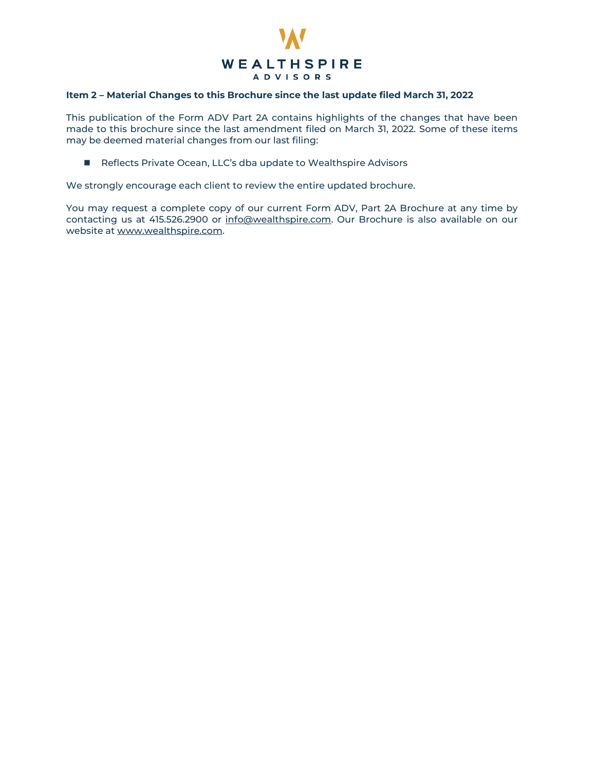

# **Item 2 – Material Changes to this Brochure since the last update filed March 31, 2022**

This publication of the Form ADV Part 2A contains highlights of the changes that have been made to this brochure since the last amendment filed on March 31, 2022. Some of these items may be deemed material changes from our last filing:

Reflects Private Ocean, LLC's dba update to Wealthspire Advisors

We strongly encourage each client to review the entire updated brochure.

You may request a complete copy of our current Form ADV, Part 2A Brochure at any time by contacting us at 415.526.2900 or [info@wealthspire.com.](mailto:info@wealthspire.com) Our Brochure is also available on our website a[t www.wealthspire.com.](http://www.wealthspire.com/)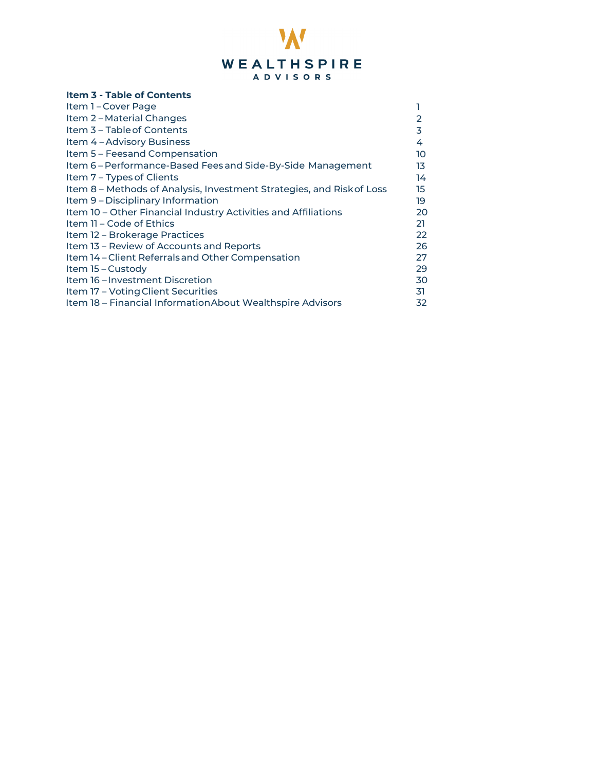

# <span id="page-2-0"></span>**Item 3 - Table of Contents**

| Item 1-Cover Page                                                     |           |
|-----------------------------------------------------------------------|-----------|
| Item 2-Material Changes                                               | 2         |
| Item 3 - Table of Contents                                            | 3         |
| Item 4 - Advisory Business                                            | 4         |
| Item 5 – Feesand Compensation                                         | 10        |
| Item 6-Performance-Based Fees and Side-By-Side Management             | 13        |
| Item 7 – Types of Clients                                             | 14        |
| Item 8 - Methods of Analysis, Investment Strategies, and Risk of Loss | 15        |
| Item 9 - Disciplinary Information                                     | 19        |
| Item 10 - Other Financial Industry Activities and Affiliations        | 20        |
| Item 11 - Code of Ethics                                              | 21        |
| Item 12 – Brokerage Practices                                         | <b>22</b> |
| Item 13 – Review of Accounts and Reports                              | 26        |
| Item 14 - Client Referrals and Other Compensation                     | 27        |
| Item 15 – Custody                                                     | 29        |
| Item 16 – Investment Discretion                                       | 30        |
| Item 17 – Voting Client Securities                                    | 31        |
| Item 18 - Financial Information About Wealthspire Advisors            | 32        |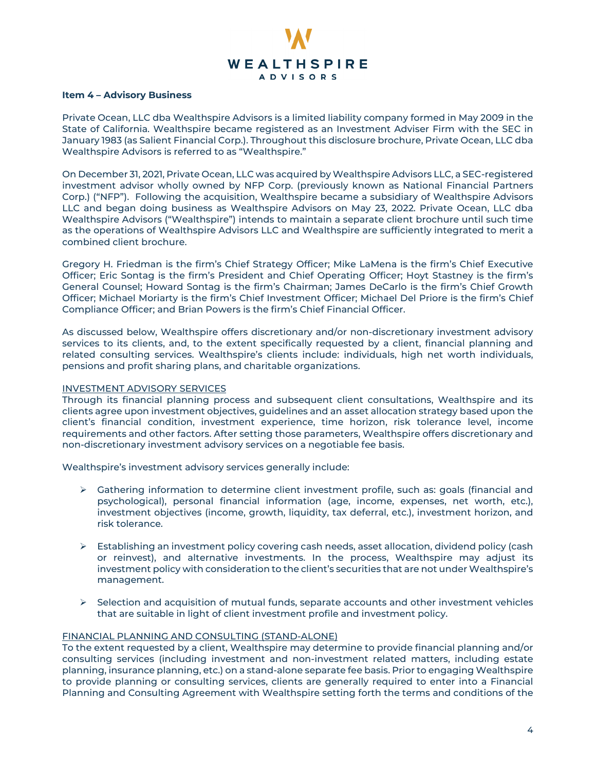

#### <span id="page-3-0"></span>**Item 4 – Advisory Business**

<span id="page-3-1"></span>Private Ocean, LLC dba Wealthspire Advisors is a limited liability company formed in May 2009 in the State of California. Wealthspire became registered as an Investment Adviser Firm with the SEC in January 1983 (as Salient Financial Corp.). Throughout this disclosure brochure, Private Ocean, LLC dba Wealthspire Advisors is referred to as "Wealthspire."

On December 31, 2021, Private Ocean, LLC was acquired by Wealthspire Advisors LLC, a SEC-registered investment advisor wholly owned by NFP Corp. (previously known as National Financial Partners Corp.) ("NFP"). Following the acquisition, Wealthspire became a subsidiary of Wealthspire Advisors LLC and began doing business as Wealthspire Advisors on May 23, 2022. Private Ocean, LLC dba Wealthspire Advisors ("Wealthspire") intends to maintain a separate client brochure until such time as the operations of Wealthspire Advisors LLC and Wealthspire are sufficiently integrated to merit a combined client brochure.

Gregory H. Friedman is the firm's Chief Strategy Officer; Mike LaMena is the firm's Chief Executive Officer; Eric Sontag is the firm's President and Chief Operating Officer; Hoyt Stastney is the firm's General Counsel; Howard Sontag is the firm's Chairman; James DeCarlo is the firm's Chief Growth Officer; Michael Moriarty is the firm's Chief Investment Officer; Michael Del Priore is the firm's Chief Compliance Officer; and Brian Powers is the firm's Chief Financial Officer.

As discussed below, Wealthspire offers discretionary and/or non-discretionary investment advisory services to its clients, and, to the extent specifically requested by a client, financial planning and related consulting services. Wealthspire's clients include: individuals, high net worth individuals, pensions and profit sharing plans, and charitable organizations.

# INVESTMENT ADVISORY SERVICES

Through its financial planning process and subsequent client consultations, Wealthspire and its clients agree upon investment objectives, guidelines and an asset allocation strategy based upon the client's financial condition, investment experience, time horizon, risk tolerance level, income requirements and other factors. After setting those parameters, Wealthspire offers discretionary and non-discretionary investment advisory services on a negotiable fee basis.

Wealthspire's investment advisory services generally include:

- $\triangleright$  Gathering information to determine client investment profile, such as: goals (financial and psychological), personal financial information (age, income, expenses, net worth, etc.), investment objectives (income, growth, liquidity, tax deferral, etc.), investment horizon, and risk tolerance.
- Establishing an investment policy covering cash needs, asset allocation, dividend policy (cash or reinvest), and alternative investments. In the process, Wealthspire may adjust its investment policy with consideration to the client's securities that are not under Wealthspire's management.
- $\triangleright$  Selection and acquisition of mutual funds, separate accounts and other investment vehicles that are suitable in light of client investment profile and investment policy.

### FINANCIAL PLANNING AND CONSULTING (STAND-ALONE)

To the extent requested by a client, Wealthspire may determine to provide financial planning and/or consulting services (including investment and non-investment related matters, including estate planning, insurance planning, etc.) on a stand-alone separate fee basis. Prior to engaging Wealthspire to provide planning or consulting services, clients are generally required to enter into a Financial Planning and Consulting Agreement with Wealthspire setting forth the terms and conditions of the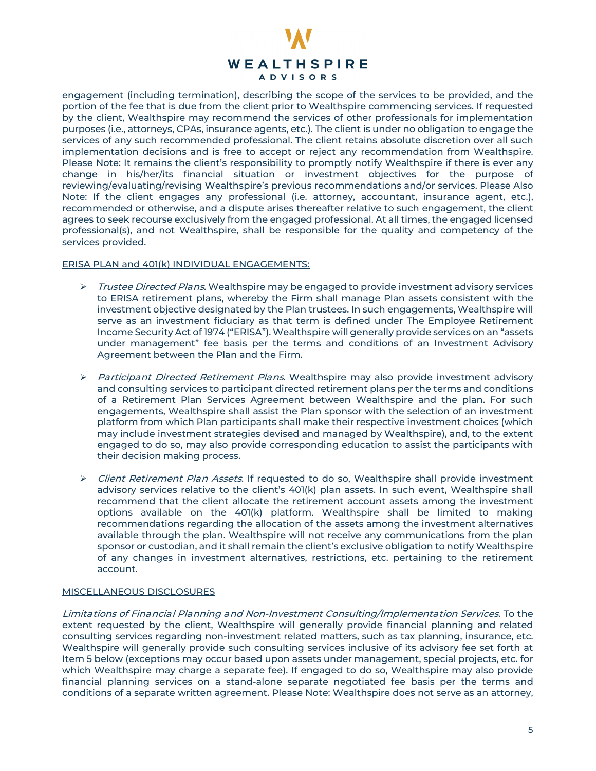

engagement (including termination), describing the scope of the services to be provided, and the portion of the fee that is due from the client prior to Wealthspire commencing services. If requested by the client, Wealthspire may recommend the services of other professionals for implementation purposes (i.e., attorneys, CPAs, insurance agents, etc.). The client is under no obligation to engage the services of any such recommended professional. The client retains absolute discretion over all such implementation decisions and is free to accept or reject any recommendation from Wealthspire. Please Note: It remains the client's responsibility to promptly notify Wealthspire if there is ever any change in his/her/its financial situation or investment objectives for the purpose of reviewing/evaluating/revising Wealthspire's previous recommendations and/or services. Please Also Note: If the client engages any professional (i.e. attorney, accountant, insurance agent, etc.), recommended or otherwise, and a dispute arises thereafter relative to such engagement, the client agrees to seek recourse exclusively from the engaged professional. At all times, the engaged licensed professional(s), and not Wealthspire, shall be responsible for the quality and competency of the services provided.

### ERISA PLAN and 401(k) INDIVIDUAL ENGAGEMENTS:

- $\triangleright$  Trustee Directed Plans. Wealthspire may be engaged to provide investment advisory services to ERISA retirement plans, whereby the Firm shall manage Plan assets consistent with the investment objective designated by the Plan trustees. In such engagements, Wealthspire will serve as an investment fiduciary as that term is defined under The Employee Retirement Income Security Act of 1974 ("ERISA"). Wealthspire will generally provide services on an "assets under management" fee basis per the terms and conditions of an Investment Advisory Agreement between the Plan and the Firm.
- $\triangleright$  Participant Directed Retirement Plans. Wealthspire may also provide investment advisory and consulting services to participant directed retirement plans per the terms and conditions of a Retirement Plan Services Agreement between Wealthspire and the plan. For such engagements, Wealthspire shall assist the Plan sponsor with the selection of an investment platform from which Plan participants shall make their respective investment choices (which may include investment strategies devised and managed by Wealthspire), and, to the extent engaged to do so, may also provide corresponding education to assist the participants with their decision making process.
- ▶ Client Retirement Plan Assets. If requested to do so, Wealthspire shall provide investment advisory services relative to the client's 401(k) plan assets. In such event, Wealthspire shall recommend that the client allocate the retirement account assets among the investment options available on the 401(k) platform. Wealthspire shall be limited to making recommendations regarding the allocation of the assets among the investment alternatives available through the plan. Wealthspire will not receive any communications from the plan sponsor or custodian, and it shall remain the client's exclusive obligation to notify Wealthspire of any changes in investment alternatives, restrictions, etc. pertaining to the retirement account.

# MISCELLANEOUS DISCLOSURES

Limitations of Financial Planning and Non-Investment Consulting/Implementation Services. To the extent requested by the client, Wealthspire will generally provide financial planning and related consulting services regarding non-investment related matters, such as tax planning, insurance, etc. Wealthspire will generally provide such consulting services inclusive of its advisory fee set forth at Item 5 below (exceptions may occur based upon assets under management, special projects, etc. for which Wealthspire may charge a separate fee). If engaged to do so, Wealthspire may also provide financial planning services on a stand-alone separate negotiated fee basis per the terms and conditions of a separate written agreement. Please Note: Wealthspire does not serve as an attorney,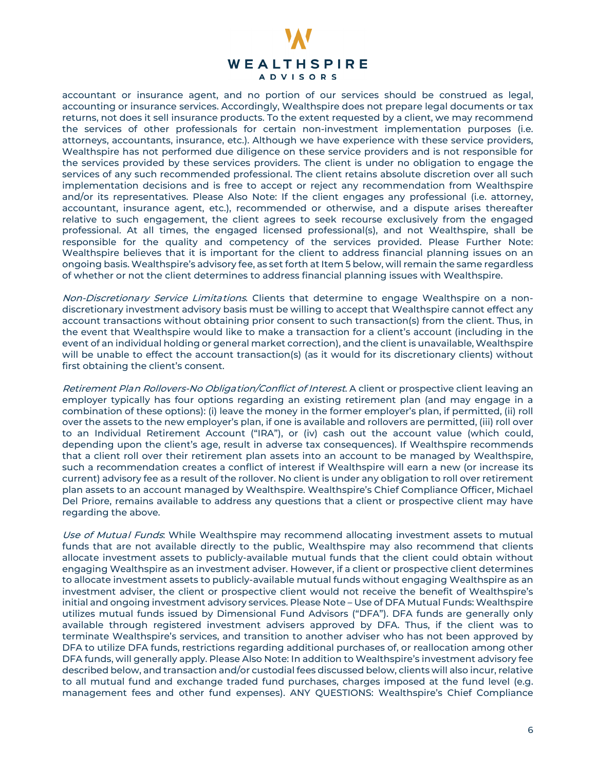

accountant or insurance agent, and no portion of our services should be construed as legal, accounting or insurance services. Accordingly, Wealthspire does not prepare legal documents or tax returns, not does it sell insurance products. To the extent requested by a client, we may recommend the services of other professionals for certain non-investment implementation purposes (i.e. attorneys, accountants, insurance, etc.). Although we have experience with these service providers, Wealthspire has not performed due diligence on these service providers and is not responsible for the services provided by these services providers. The client is under no obligation to engage the services of any such recommended professional. The client retains absolute discretion over all such implementation decisions and is free to accept or reject any recommendation from Wealthspire and/or its representatives. Please Also Note: If the client engages any professional (i.e. attorney, accountant, insurance agent, etc.), recommended or otherwise, and a dispute arises thereafter relative to such engagement, the client agrees to seek recourse exclusively from the engaged professional. At all times, the engaged licensed professional(s), and not Wealthspire, shall be responsible for the quality and competency of the services provided. Please Further Note: Wealthspire believes that it is important for the client to address financial planning issues on an ongoing basis. Wealthspire's advisory fee, as set forth at Item 5 below, will remain the same regardless of whether or not the client determines to address financial planning issues with Wealthspire.

Non-Discretionary Service Limitations. Clients that determine to engage Wealthspire on a nondiscretionary investment advisory basis must be willing to accept that Wealthspire cannot effect any account transactions without obtaining prior consent to such transaction(s) from the client. Thus, in the event that Wealthspire would like to make a transaction for a client's account (including in the event of an individual holding or general market correction), and the client is unavailable, Wealthspire will be unable to effect the account transaction(s) (as it would for its discretionary clients) without first obtaining the client's consent.

Retirement Plan Rollovers-No Obligation/Conflict of Interest. A client or prospective client leaving an employer typically has four options regarding an existing retirement plan (and may engage in a combination of these options): (i) leave the money in the former employer's plan, if permitted, (ii) roll over the assets to the new employer's plan, if one is available and rollovers are permitted, (iii) roll over to an Individual Retirement Account ("IRA"), or (iv) cash out the account value (which could, depending upon the client's age, result in adverse tax consequences). If Wealthspire recommends that a client roll over their retirement plan assets into an account to be managed by Wealthspire, such a recommendation creates a conflict of interest if Wealthspire will earn a new (or increase its current) advisory fee as a result of the rollover. No client is under any obligation to roll over retirement plan assets to an account managed by Wealthspire. Wealthspire's Chief Compliance Officer, Michael Del Priore, remains available to address any questions that a client or prospective client may have regarding the above.

Use of Mutual Funds. While Wealthspire may recommend allocating investment assets to mutual funds that are not available directly to the public, Wealthspire may also recommend that clients allocate investment assets to publicly-available mutual funds that the client could obtain without engaging Wealthspire as an investment adviser. However, if a client or prospective client determines to allocate investment assets to publicly-available mutual funds without engaging Wealthspire as an investment adviser, the client or prospective client would not receive the benefit of Wealthspire's initial and ongoing investment advisory services. Please Note – Use of DFA Mutual Funds: Wealthspire utilizes mutual funds issued by Dimensional Fund Advisors ("DFA"). DFA funds are generally only available through registered investment advisers approved by DFA. Thus, if the client was to terminate Wealthspire's services, and transition to another adviser who has not been approved by DFA to utilize DFA funds, restrictions regarding additional purchases of, or reallocation among other DFA funds, will generally apply. Please Also Note: In addition to Wealthspire's investment advisory fee described below, and transaction and/or custodial fees discussed below, clients will also incur, relative to all mutual fund and exchange traded fund purchases, charges imposed at the fund level (e.g. management fees and other fund expenses). ANY QUESTIONS: Wealthspire's Chief Compliance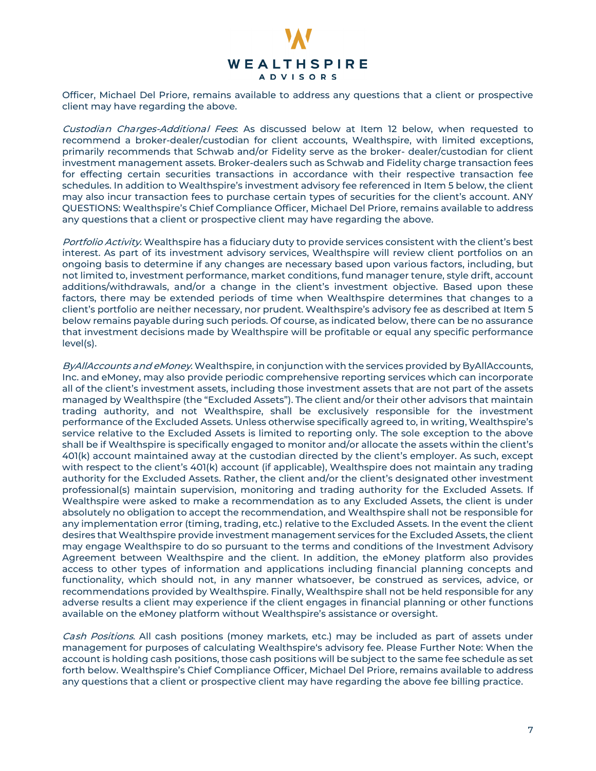

Officer, Michael Del Priore, remains available to address any questions that a client or prospective client may have regarding the above.

Custodian Charges-Additional Fees: As discussed below at Item 12 below, when requested to recommend a broker-dealer/custodian for client accounts, Wealthspire, with limited exceptions, primarily recommends that Schwab and/or Fidelity serve as the broker- dealer/custodian for client investment management assets. Broker-dealers such as Schwab and Fidelity charge transaction fees for effecting certain securities transactions in accordance with their respective transaction fee schedules. In addition to Wealthspire's investment advisory fee referenced in Item 5 below, the client may also incur transaction fees to purchase certain types of securities for the client's account. ANY QUESTIONS: Wealthspire's Chief Compliance Officer, Michael Del Priore, remains available to address any questions that a client or prospective client may have regarding the above.

Portfolio Activity. Wealthspire has a fiduciary duty to provide services consistent with the client's best interest. As part of its investment advisory services, Wealthspire will review client portfolios on an ongoing basis to determine if any changes are necessary based upon various factors, including, but not limited to, investment performance, market conditions, fund manager tenure, style drift, account additions/withdrawals, and/or a change in the client's investment objective. Based upon these factors, there may be extended periods of time when Wealthspire determines that changes to a client's portfolio are neither necessary, nor prudent. Wealthspire's advisory fee as described at Item 5 below remains payable during such periods. Of course, as indicated below, there can be no assurance that investment decisions made by Wealthspire will be profitable or equal any specific performance level(s).

ByAllAccounts and eMoney. Wealthspire, in conjunction with the services provided by ByAllAccounts, Inc. and eMoney, may also provide periodic comprehensive reporting services which can incorporate all of the client's investment assets, including those investment assets that are not part of the assets managed by Wealthspire (the "Excluded Assets"). The client and/or their other advisors that maintain trading authority, and not Wealthspire, shall be exclusively responsible for the investment performance of the Excluded Assets. Unless otherwise specifically agreed to, in writing, Wealthspire's service relative to the Excluded Assets is limited to reporting only. The sole exception to the above shall be if Wealthspire is specifically engaged to monitor and/or allocate the assets within the client's 401(k) account maintained away at the custodian directed by the client's employer. As such, except with respect to the client's 401(k) account (if applicable), Wealthspire does not maintain any trading authority for the Excluded Assets. Rather, the client and/or the client's designated other investment professional(s) maintain supervision, monitoring and trading authority for the Excluded Assets. If Wealthspire were asked to make a recommendation as to any Excluded Assets, the client is under absolutely no obligation to accept the recommendation, and Wealthspire shall not be responsible for any implementation error (timing, trading, etc.) relative to the Excluded Assets. In the event the client desires that Wealthspire provide investment management services for the Excluded Assets, the client may engage Wealthspire to do so pursuant to the terms and conditions of the Investment Advisory Agreement between Wealthspire and the client. In addition, the eMoney platform also provides access to other types of information and applications including financial planning concepts and functionality, which should not, in any manner whatsoever, be construed as services, advice, or recommendations provided by Wealthspire. Finally, Wealthspire shall not be held responsible for any adverse results a client may experience if the client engages in financial planning or other functions available on the eMoney platform without Wealthspire's assistance or oversight.

Cash Positions. All cash positions (money markets, etc.) may be included as part of assets under management for purposes of calculating Wealthspire's advisory fee. Please Further Note: When the account is holding cash positions, those cash positions will be subject to the same fee schedule as set forth below. Wealthspire's Chief Compliance Officer, Michael Del Priore, remains available to address any questions that a client or prospective client may have regarding the above fee billing practice.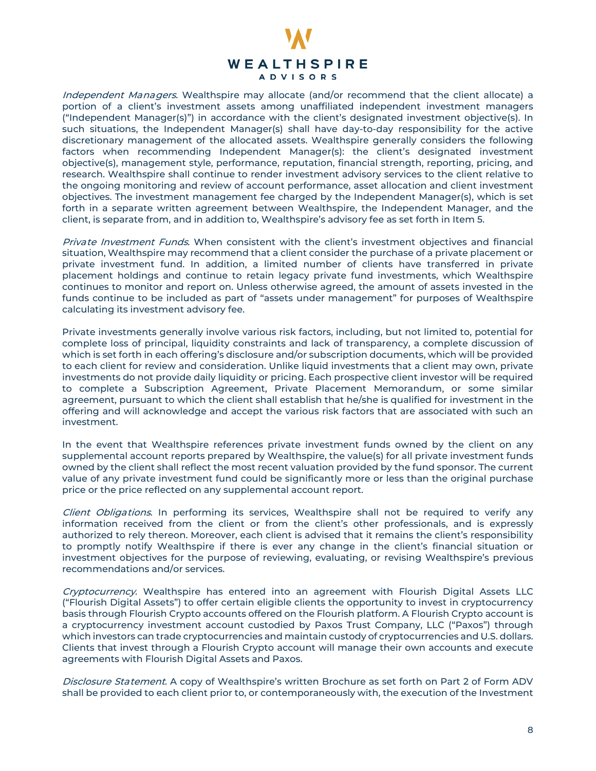

Independent Managers. Wealthspire may allocate (and/or recommend that the client allocate) a portion of a client's investment assets among unaffiliated independent investment managers ("Independent Manager(s)") in accordance with the client's designated investment objective(s). In such situations, the Independent Manager(s) shall have day-to-day responsibility for the active discretionary management of the allocated assets. Wealthspire generally considers the following factors when recommending Independent Manager(s): the client's designated investment objective(s), management style, performance, reputation, financial strength, reporting, pricing, and research. Wealthspire shall continue to render investment advisory services to the client relative to the ongoing monitoring and review of account performance, asset allocation and client investment objectives. The investment management fee charged by the Independent Manager(s), which is set forth in a separate written agreement between Wealthspire, the Independent Manager, and the client, is separate from, and in addition to, Wealthspire's advisory fee as set forth in Item 5.

Private Investment Funds. When consistent with the client's investment objectives and financial situation, Wealthspire may recommend that a client consider the purchase of a private placement or private investment fund. In addition, a limited number of clients have transferred in private placement holdings and continue to retain legacy private fund investments, which Wealthspire continues to monitor and report on. Unless otherwise agreed, the amount of assets invested in the funds continue to be included as part of "assets under management" for purposes of Wealthspire calculating its investment advisory fee.

Private investments generally involve various risk factors, including, but not limited to, potential for complete loss of principal, liquidity constraints and lack of transparency, a complete discussion of which is set forth in each offering's disclosure and/or subscription documents, which will be provided to each client for review and consideration. Unlike liquid investments that a client may own, private investments do not provide daily liquidity or pricing. Each prospective client investor will be required to complete a Subscription Agreement, Private Placement Memorandum, or some similar agreement, pursuant to which the client shall establish that he/she is qualified for investment in the offering and will acknowledge and accept the various risk factors that are associated with such an investment.

In the event that Wealthspire references private investment funds owned by the client on any supplemental account reports prepared by Wealthspire, the value(s) for all private investment funds owned by the client shall reflect the most recent valuation provided by the fund sponsor. The current value of any private investment fund could be significantly more or less than the original purchase price or the price reflected on any supplemental account report.

Client Obligations. In performing its services, Wealthspire shall not be required to verify any information received from the client or from the client's other professionals, and is expressly authorized to rely thereon. Moreover, each client is advised that it remains the client's responsibility to promptly notify Wealthspire if there is ever any change in the client's financial situation or investment objectives for the purpose of reviewing, evaluating, or revising Wealthspire's previous recommendations and/or services.

Cryptocurrency. Wealthspire has entered into an agreement with Flourish Digital Assets LLC ("Flourish Digital Assets") to offer certain eligible clients the opportunity to invest in cryptocurrency basis through Flourish Crypto accounts offered on the Flourish platform. A Flourish Crypto account is a cryptocurrency investment account custodied by Paxos Trust Company, LLC ("Paxos") through which investors can trade cryptocurrencies and maintain custody of cryptocurrencies and U.S. dollars. Clients that invest through a Flourish Crypto account will manage their own accounts and execute agreements with Flourish Digital Assets and Paxos.

Disclosure Statement. A copy of Wealthspire's written Brochure as set forth on Part 2 of Form ADV shall be provided to each client prior to, or contemporaneously with, the execution of the Investment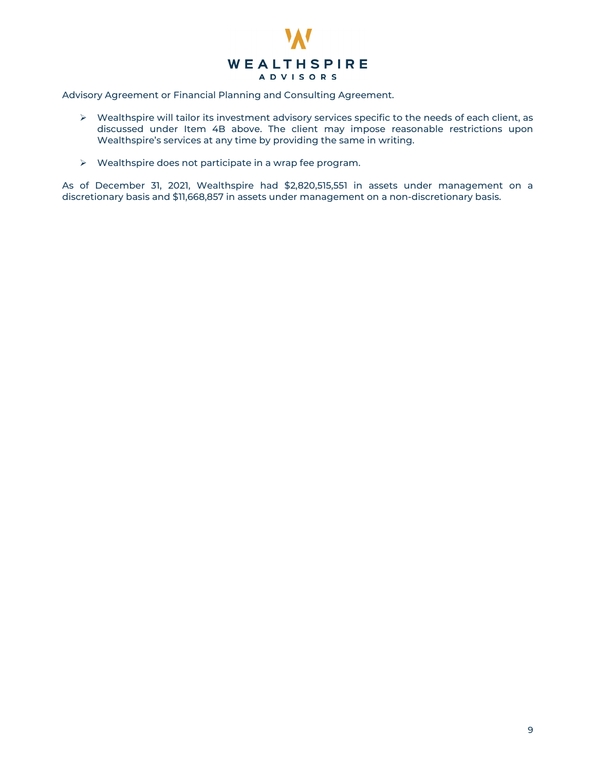

Advisory Agreement or Financial Planning and Consulting Agreement.

- Wealthspire will tailor its investment advisory services specific to the needs of each client, as discussed under Item 4B above. The client may impose reasonable restrictions upon Wealthspire's services at any time by providing the same in writing.
- Wealthspire does not participate in a wrap fee program.

As of December 31, 2021, Wealthspire had \$2,820,515,551 in assets under management on a discretionary basis and \$11,668,857 in assets under management on a non-discretionary basis.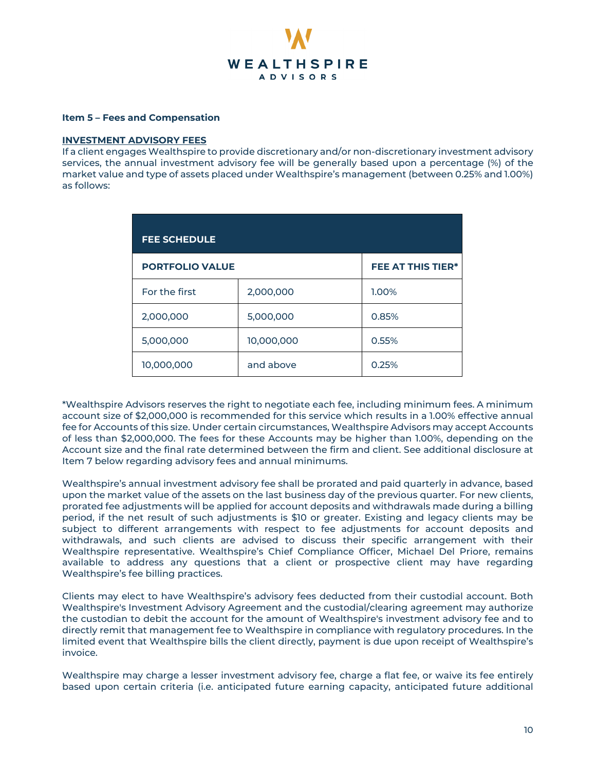

# **Item 5 – Fees and Compensation**

#### **INVESTMENT ADVISORY FEES**

If a client engages Wealthspire to provide discretionary and/or non-discretionary investment advisory services, the annual investment advisory fee will be generally based upon a percentage (%) of the market value and type of assets placed under Wealthspire's management (between 0.25% and 1.00%) as follows:

| <b>FEE SCHEDULE</b>    |            |                          |  |
|------------------------|------------|--------------------------|--|
| <b>PORTFOLIO VALUE</b> |            | <b>FEE AT THIS TIER*</b> |  |
| For the first          | 2,000,000  | 1.00%                    |  |
| 2,000,000              | 5,000,000  | 0.85%                    |  |
| 5,000,000              | 10,000,000 | 0.55%                    |  |
| 10,000,000             | and above  | 0.25%                    |  |

\*Wealthspire Advisors reserves the right to negotiate each fee, including minimum fees. A minimum account size of \$2,000,000 is recommended for this service which results in a 1.00% effective annual fee for Accounts of this size. Under certain circumstances, Wealthspire Advisors may accept Accounts of less than \$2,000,000. The fees for these Accounts may be higher than 1.00%, depending on the Account size and the final rate determined between the firm and client. See additional disclosure at Item 7 below regarding advisory fees and annual minimums.

Wealthspire's annual investment advisory fee shall be prorated and paid quarterly in advance, based upon the market value of the assets on the last business day of the previous quarter. For new clients, prorated fee adjustments will be applied for account deposits and withdrawals made during a billing period, if the net result of such adjustments is \$10 or greater. Existing and legacy clients may be subject to different arrangements with respect to fee adjustments for account deposits and withdrawals, and such clients are advised to discuss their specific arrangement with their Wealthspire representative. Wealthspire's Chief Compliance Officer, Michael Del Priore, remains available to address any questions that a client or prospective client may have regarding Wealthspire's fee billing practices.

Clients may elect to have Wealthspire's advisory fees deducted from their custodial account. Both Wealthspire's Investment Advisory Agreement and the custodial/clearing agreement may authorize the custodian to debit the account for the amount of Wealthspire's investment advisory fee and to directly remit that management fee to Wealthspire in compliance with regulatory procedures. In the limited event that Wealthspire bills the client directly, payment is due upon receipt of Wealthspire's invoice.

Wealthspire may charge a lesser investment advisory fee, charge a flat fee, or waive its fee entirely based upon certain criteria (i.e. anticipated future earning capacity, anticipated future additional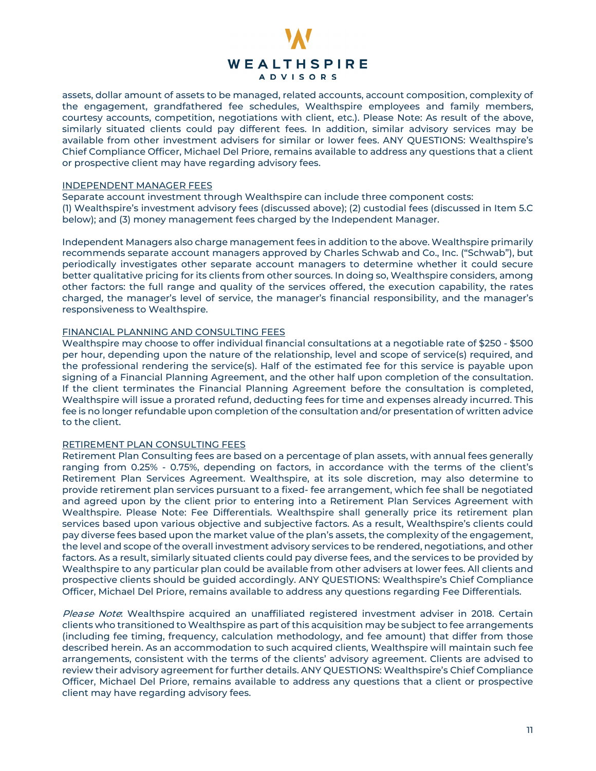

assets, dollar amount of assets to be managed, related accounts, account composition, complexity of the engagement, grandfathered fee schedules, Wealthspire employees and family members, courtesy accounts, competition, negotiations with client, etc.). Please Note: As result of the above, similarly situated clients could pay different fees. In addition, similar advisory services may be available from other investment advisers for similar or lower fees. ANY QUESTIONS: Wealthspire's Chief Compliance Officer, Michael Del Priore, remains available to address any questions that a client or prospective client may have regarding advisory fees.

#### INDEPENDENT MANAGER FEES

Separate account investment through Wealthspire can include three component costs: (1) Wealthspire's investment advisory fees (discussed above); (2) custodial fees (discussed in Item 5.C below); and (3) money management fees charged by the Independent Manager.

Independent Managers also charge management fees in addition to the above. Wealthspire primarily recommends separate account managers approved by Charles Schwab and Co., Inc. ("Schwab"), but periodically investigates other separate account managers to determine whether it could secure better qualitative pricing for its clients from other sources. In doing so, Wealthspire considers, among other factors: the full range and quality of the services offered, the execution capability, the rates charged, the manager's level of service, the manager's financial responsibility, and the manager's responsiveness to Wealthspire.

# FINANCIAL PLANNING AND CONSULTING FEES

Wealthspire may choose to offer individual financial consultations at a negotiable rate of \$250 - \$500 per hour, depending upon the nature of the relationship, level and scope of service(s) required, and the professional rendering the service(s). Half of the estimated fee for this service is payable upon signing of a Financial Planning Agreement, and the other half upon completion of the consultation. If the client terminates the Financial Planning Agreement before the consultation is completed, Wealthspire will issue a prorated refund, deducting fees for time and expenses already incurred. This fee is no longer refundable upon completion of the consultation and/or presentation of written advice to the client.

#### RETIREMENT PLAN CONSULTING FEES

Retirement Plan Consulting fees are based on a percentage of plan assets, with annual fees generally ranging from 0.25% - 0.75%, depending on factors, in accordance with the terms of the client's Retirement Plan Services Agreement. Wealthspire, at its sole discretion, may also determine to provide retirement plan services pursuant to a fixed- fee arrangement, which fee shall be negotiated and agreed upon by the client prior to entering into a Retirement Plan Services Agreement with Wealthspire. Please Note: Fee Differentials. Wealthspire shall generally price its retirement plan services based upon various objective and subjective factors. As a result, Wealthspire's clients could pay diverse fees based upon the market value of the plan's assets, the complexity of the engagement, the level and scope of the overall investment advisory services to be rendered, negotiations, and other factors. As a result, similarly situated clients could pay diverse fees, and the services to be provided by Wealthspire to any particular plan could be available from other advisers at lower fees. All clients and prospective clients should be guided accordingly. ANY QUESTIONS: Wealthspire's Chief Compliance Officer, Michael Del Priore, remains available to address any questions regarding Fee Differentials.

Please Note: Wealthspire acquired an unaffiliated registered investment adviser in 2018. Certain clients who transitioned to Wealthspire as part of this acquisition may be subject to fee arrangements (including fee timing, frequency, calculation methodology, and fee amount) that differ from those described herein. As an accommodation to such acquired clients, Wealthspire will maintain such fee arrangements, consistent with the terms of the clients' advisory agreement. Clients are advised to review their advisory agreement for further details. ANY QUESTIONS: Wealthspire's Chief Compliance Officer, Michael Del Priore, remains available to address any questions that a client or prospective client may have regarding advisory fees.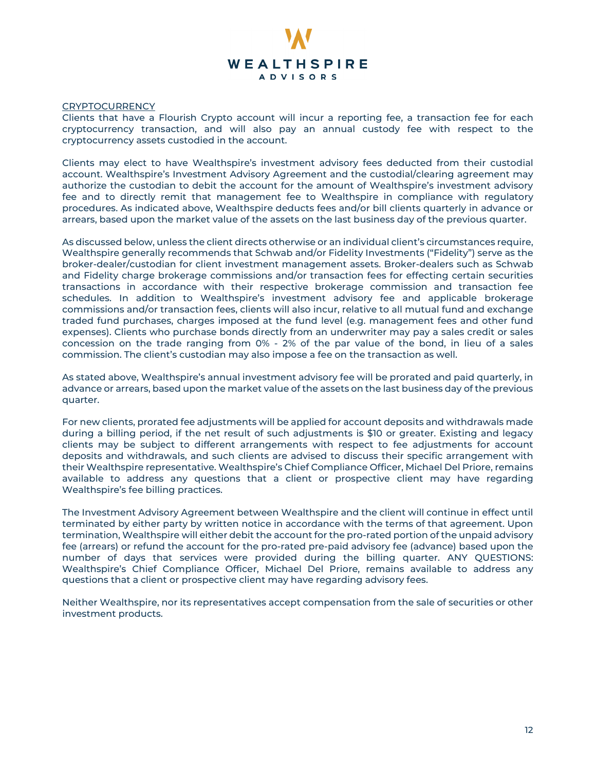

#### **CRYPTOCURRENCY**

Clients that have a Flourish Crypto account will incur a reporting fee, a transaction fee for each cryptocurrency transaction, and will also pay an annual custody fee with respect to the cryptocurrency assets custodied in the account.

Clients may elect to have Wealthspire's investment advisory fees deducted from their custodial account. Wealthspire's Investment Advisory Agreement and the custodial/clearing agreement may authorize the custodian to debit the account for the amount of Wealthspire's investment advisory fee and to directly remit that management fee to Wealthspire in compliance with regulatory procedures. As indicated above, Wealthspire deducts fees and/or bill clients quarterly in advance or arrears, based upon the market value of the assets on the last business day of the previous quarter.

As discussed below, unless the client directs otherwise or an individual client's circumstances require, Wealthspire generally recommends that Schwab and/or Fidelity Investments ("Fidelity") serve as the broker-dealer/custodian for client investment management assets. Broker-dealers such as Schwab and Fidelity charge brokerage commissions and/or transaction fees for effecting certain securities transactions in accordance with their respective brokerage commission and transaction fee schedules. In addition to Wealthspire's investment advisory fee and applicable brokerage commissions and/or transaction fees, clients will also incur, relative to all mutual fund and exchange traded fund purchases, charges imposed at the fund level (e.g. management fees and other fund expenses). Clients who purchase bonds directly from an underwriter may pay a sales credit or sales concession on the trade ranging from 0% - 2% of the par value of the bond, in lieu of a sales commission. The client's custodian may also impose a fee on the transaction as well.

As stated above, Wealthspire's annual investment advisory fee will be prorated and paid quarterly, in advance or arrears, based upon the market value of the assets on the last business day of the previous quarter.

For new clients, prorated fee adjustments will be applied for account deposits and withdrawals made during a billing period, if the net result of such adjustments is \$10 or greater. Existing and legacy clients may be subject to different arrangements with respect to fee adjustments for account deposits and withdrawals, and such clients are advised to discuss their specific arrangement with their Wealthspire representative. Wealthspire's Chief Compliance Officer, Michael Del Priore, remains available to address any questions that a client or prospective client may have regarding Wealthspire's fee billing practices.

The Investment Advisory Agreement between Wealthspire and the client will continue in effect until terminated by either party by written notice in accordance with the terms of that agreement. Upon termination, Wealthspire will either debit the account for the pro-rated portion of the unpaid advisory fee (arrears) or refund the account for the pro-rated pre-paid advisory fee (advance) based upon the number of days that services were provided during the billing quarter. ANY QUESTIONS: Wealthspire's Chief Compliance Officer, Michael Del Priore, remains available to address any questions that a client or prospective client may have regarding advisory fees.

Neither Wealthspire, nor its representatives accept compensation from the sale of securities or other investment products.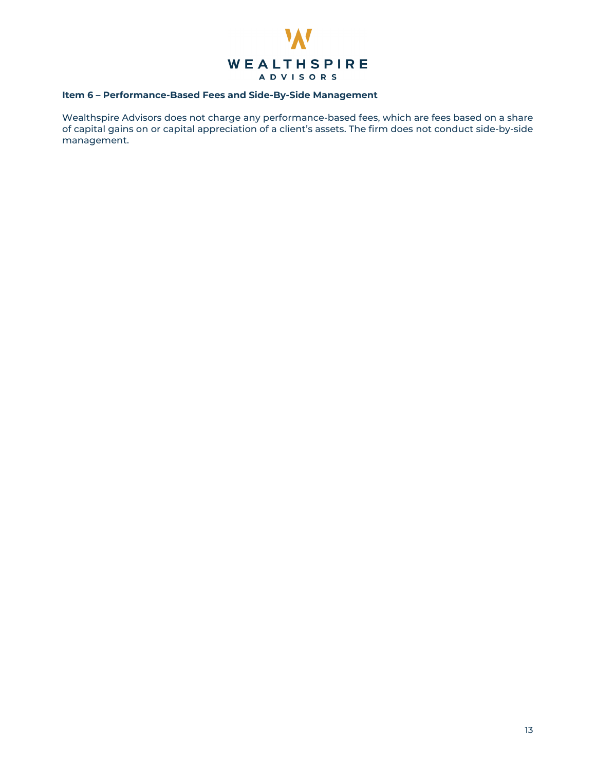

# **Item 6 – Performance-Based Fees and Side-By-Side Management**

<span id="page-12-0"></span>Wealthspire Advisors does not charge any performance-based fees, which are fees based on a share of capital gains on or capital appreciation of a client's assets. The firm does not conduct side-by-side management.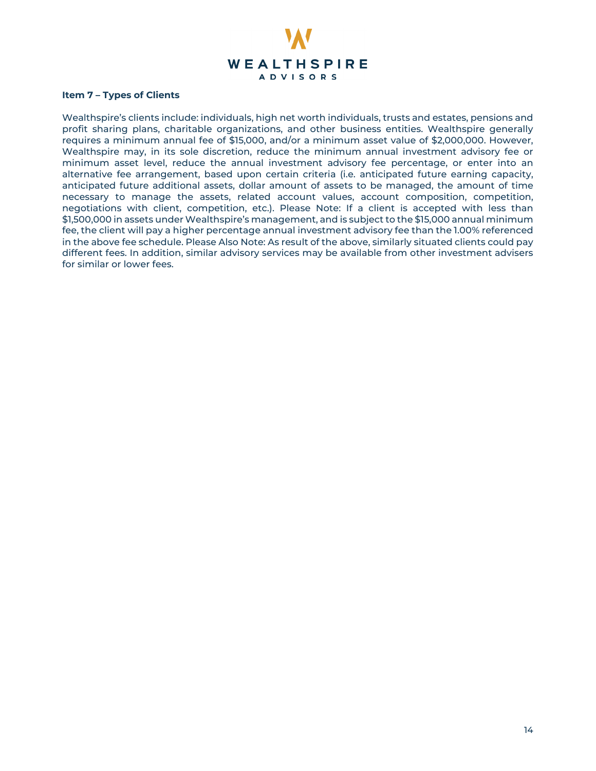

#### **Item 7 – Types of Clients**

<span id="page-13-0"></span>Wealthspire's clients include: individuals, high net worth individuals, trusts and estates, pensions and profit sharing plans, charitable organizations, and other business entities. Wealthspire generally requires a minimum annual fee of \$15,000, and/or a minimum asset value of \$2,000,000. However, Wealthspire may, in its sole discretion, reduce the minimum annual investment advisory fee or minimum asset level, reduce the annual investment advisory fee percentage, or enter into an alternative fee arrangement, based upon certain criteria (i.e. anticipated future earning capacity, anticipated future additional assets, dollar amount of assets to be managed, the amount of time necessary to manage the assets, related account values, account composition, competition, negotiations with client, competition, etc.). Please Note: If a client is accepted with less than \$1,500,000 in assets under Wealthspire's management, and is subject to the \$15,000 annual minimum fee, the client will pay a higher percentage annual investment advisory fee than the 1.00% referenced in the above fee schedule. Please Also Note: As result of the above, similarly situated clients could pay different fees. In addition, similar advisory services may be available from other investment advisers for similar or lower fees.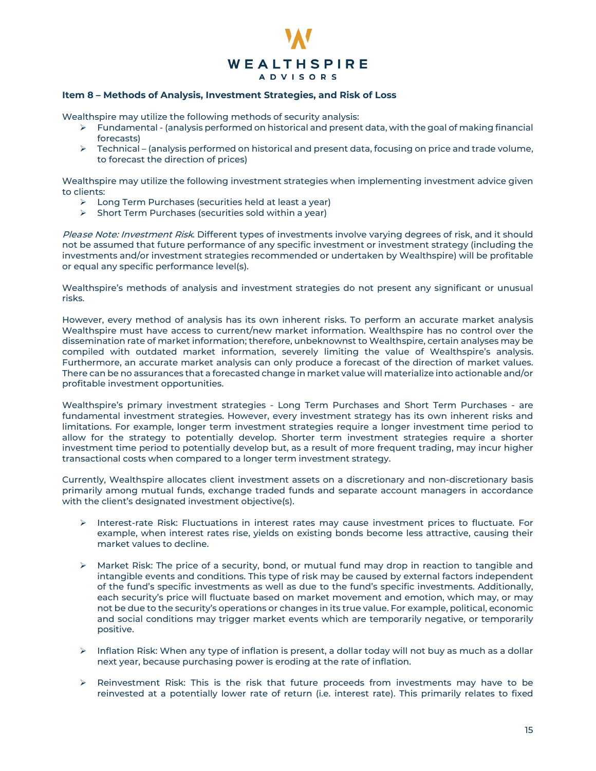

#### **Item 8 – Methods of Analysis, Investment Strategies, and Risk of Loss**

Wealthspire may utilize the following methods of security analysis:

- $\triangleright$  Fundamental (analysis performed on historical and present data, with the goal of making financial forecasts)
- $\triangleright$  Technical (analysis performed on historical and present data, focusing on price and trade volume, to forecast the direction of prices)

Wealthspire may utilize the following investment strategies when implementing investment advice given to clients:

- Long Term Purchases (securities held at least a year)
- $\triangleright$  Short Term Purchases (securities sold within a year)

Please Note: Investment Risk. Different types of investments involve varying degrees of risk, and it should not be assumed that future performance of any specific investment or investment strategy (including the investments and/or investment strategies recommended or undertaken by Wealthspire) will be profitable or equal any specific performance level(s).

Wealthspire's methods of analysis and investment strategies do not present any significant or unusual risks.

However, every method of analysis has its own inherent risks. To perform an accurate market analysis Wealthspire must have access to current/new market information. Wealthspire has no control over the dissemination rate of market information; therefore, unbeknownst to Wealthspire, certain analyses may be compiled with outdated market information, severely limiting the value of Wealthspire's analysis. Furthermore, an accurate market analysis can only produce a forecast of the direction of market values. There can be no assurances that a forecasted change in market value will materialize into actionable and/or profitable investment opportunities.

Wealthspire's primary investment strategies - Long Term Purchases and Short Term Purchases - are fundamental investment strategies. However, every investment strategy has its own inherent risks and limitations. For example, longer term investment strategies require a longer investment time period to allow for the strategy to potentially develop. Shorter term investment strategies require a shorter investment time period to potentially develop but, as a result of more frequent trading, may incur higher transactional costs when compared to a longer term investment strategy.

Currently, Wealthspire allocates client investment assets on a discretionary and non-discretionary basis primarily among mutual funds, exchange traded funds and separate account managers in accordance with the client's designated investment objective(s).

- $\triangleright$  Interest-rate Risk: Fluctuations in interest rates may cause investment prices to fluctuate. For example, when interest rates rise, yields on existing bonds become less attractive, causing their market values to decline.
- $\triangleright$  Market Risk: The price of a security, bond, or mutual fund may drop in reaction to tangible and intangible events and conditions. This type of risk may be caused by external factors independent of the fund's specific investments as well as due to the fund's specific investments. Additionally, each security's price will fluctuate based on market movement and emotion, which may, or may not be due to the security's operations or changes in its true value. For example, political, economic and social conditions may trigger market events which are temporarily negative, or temporarily positive.
- $\triangleright$  Inflation Risk: When any type of inflation is present, a dollar today will not buy as much as a dollar next year, because purchasing power is eroding at the rate of inflation.
- $\triangleright$  Reinvestment Risk: This is the risk that future proceeds from investments may have to be reinvested at a potentially lower rate of return (i.e. interest rate). This primarily relates to fixed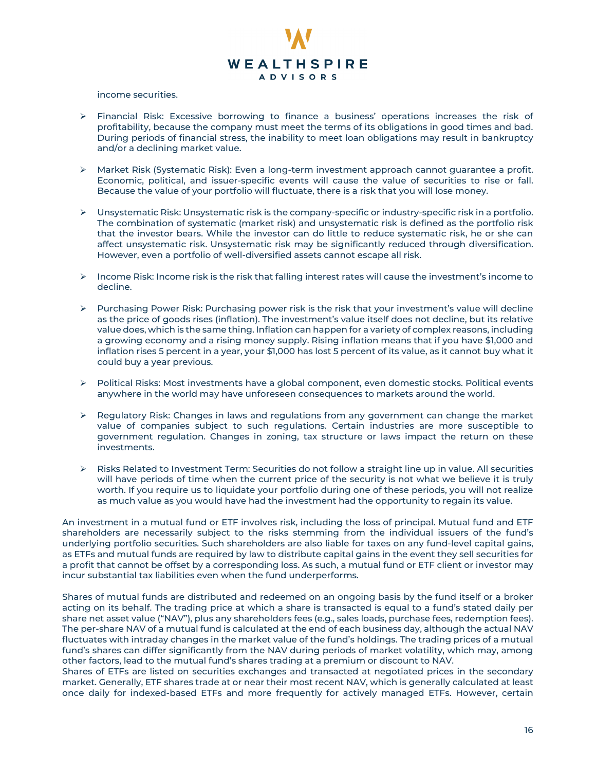

#### income securities.

- Financial Risk: Excessive borrowing to finance a business' operations increases the risk of profitability, because the company must meet the terms of its obligations in good times and bad. During periods of financial stress, the inability to meet loan obligations may result in bankruptcy and/or a declining market value.
- $\triangleright$  Market Risk (Systematic Risk): Even a long-term investment approach cannot guarantee a profit. Economic, political, and issuer-specific events will cause the value of securities to rise or fall. Because the value of your portfolio will fluctuate, there is a risk that you will lose money.
- Unsystematic Risk: Unsystematic risk is the company-specific or industry-specific risk in a portfolio. The combination of systematic (market risk) and unsystematic risk is defined as the portfolio risk that the investor bears. While the investor can do little to reduce systematic risk, he or she can affect unsystematic risk. Unsystematic risk may be significantly reduced through diversification. However, even a portfolio of well-diversified assets cannot escape all risk.
- $\triangleright$  Income Risk: Income risk is the risk that falling interest rates will cause the investment's income to decline.
- $\triangleright$  Purchasing Power Risk: Purchasing power risk is the risk that your investment's value will decline as the price of goods rises (inflation). The investment's value itself does not decline, but its relative value does, which is the same thing. Inflation can happen for a variety of complex reasons, including a growing economy and a rising money supply. Rising inflation means that if you have \$1,000 and inflation rises 5 percent in a year, your \$1,000 has lost 5 percent of its value, as it cannot buy what it could buy a year previous.
- Political Risks: Most investments have a global component, even domestic stocks. Political events anywhere in the world may have unforeseen consequences to markets around the world.
- $\triangleright$  Regulatory Risk: Changes in laws and regulations from any government can change the market value of companies subject to such regulations. Certain industries are more susceptible to government regulation. Changes in zoning, tax structure or laws impact the return on these investments.
- Risks Related to Investment Term: Securities do not follow a straight line up in value. All securities will have periods of time when the current price of the security is not what we believe it is truly worth. If you require us to liquidate your portfolio during one of these periods, you will not realize as much value as you would have had the investment had the opportunity to regain its value.

An investment in a mutual fund or ETF involves risk, including the loss of principal. Mutual fund and ETF shareholders are necessarily subject to the risks stemming from the individual issuers of the fund's underlying portfolio securities. Such shareholders are also liable for taxes on any fund-level capital gains, as ETFs and mutual funds are required by law to distribute capital gains in the event they sell securities for a profit that cannot be offset by a corresponding loss. As such, a mutual fund or ETF client or investor may incur substantial tax liabilities even when the fund underperforms.

Shares of mutual funds are distributed and redeemed on an ongoing basis by the fund itself or a broker acting on its behalf. The trading price at which a share is transacted is equal to a fund's stated daily per share net asset value ("NAV"), plus any shareholders fees (e.g., sales loads, purchase fees, redemption fees). The per-share NAV of a mutual fund is calculated at the end of each business day, although the actual NAV fluctuates with intraday changes in the market value of the fund's holdings. The trading prices of a mutual fund's shares can differ significantly from the NAV during periods of market volatility, which may, among other factors, lead to the mutual fund's shares trading at a premium or discount to NAV.

Shares of ETFs are listed on securities exchanges and transacted at negotiated prices in the secondary market. Generally, ETF shares trade at or near their most recent NAV, which is generally calculated at least once daily for indexed-based ETFs and more frequently for actively managed ETFs. However, certain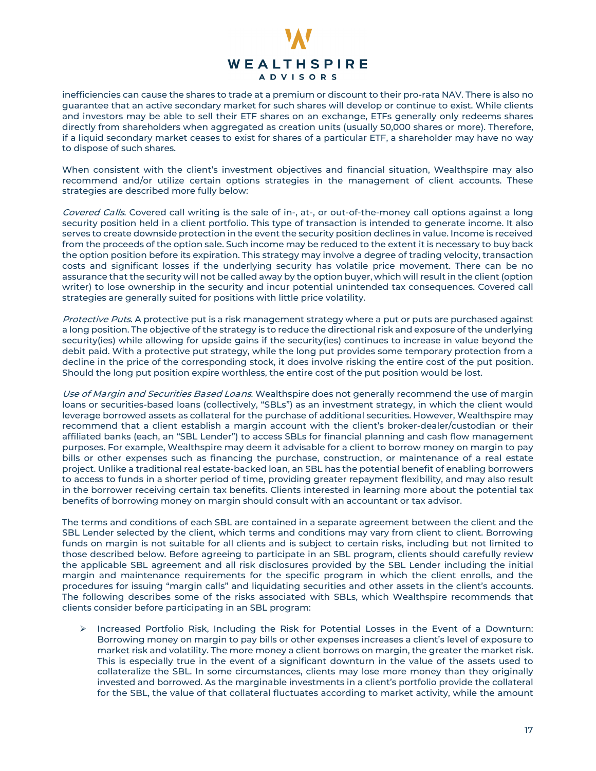

inefficiencies can cause the shares to trade at a premium or discount to their pro-rata NAV. There is also no guarantee that an active secondary market for such shares will develop or continue to exist. While clients and investors may be able to sell their ETF shares on an exchange, ETFs generally only redeems shares directly from shareholders when aggregated as creation units (usually 50,000 shares or more). Therefore, if a liquid secondary market ceases to exist for shares of a particular ETF, a shareholder may have no way to dispose of such shares.

When consistent with the client's investment objectives and financial situation, Wealthspire may also recommend and/or utilize certain options strategies in the management of client accounts. These strategies are described more fully below:

Covered Calls. Covered call writing is the sale of in-, at-, or out-of-the-money call options against a long security position held in a client portfolio. This type of transaction is intended to generate income. It also serves to create downside protection in the event the security position declines in value. Income is received from the proceeds of the option sale. Such income may be reduced to the extent it is necessary to buy back the option position before its expiration. This strategy may involve a degree of trading velocity, transaction costs and significant losses if the underlying security has volatile price movement. There can be no assurance that the security will not be called away by the option buyer, which will result in the client (option writer) to lose ownership in the security and incur potential unintended tax consequences. Covered call strategies are generally suited for positions with little price volatility.

Protective Puts. A protective put is a risk management strategy where a put or puts are purchased against a long position. The objective of the strategy is to reduce the directional risk and exposure of the underlying security(ies) while allowing for upside gains if the security(ies) continues to increase in value beyond the debit paid. With a protective put strategy, while the long put provides some temporary protection from a decline in the price of the corresponding stock, it does involve risking the entire cost of the put position. Should the long put position expire worthless, the entire cost of the put position would be lost.

Use of Margin and Securities Based Loans. Wealthspire does not generally recommend the use of margin loans or securities-based loans (collectively, "SBLs") as an investment strategy, in which the client would leverage borrowed assets as collateral for the purchase of additional securities. However, Wealthspire may recommend that a client establish a margin account with the client's broker-dealer/custodian or their affiliated banks (each, an "SBL Lender") to access SBLs for financial planning and cash flow management purposes. For example, Wealthspire may deem it advisable for a client to borrow money on margin to pay bills or other expenses such as financing the purchase, construction, or maintenance of a real estate project. Unlike a traditional real estate-backed loan, an SBL has the potential benefit of enabling borrowers to access to funds in a shorter period of time, providing greater repayment flexibility, and may also result in the borrower receiving certain tax benefits. Clients interested in learning more about the potential tax benefits of borrowing money on margin should consult with an accountant or tax advisor.

The terms and conditions of each SBL are contained in a separate agreement between the client and the SBL Lender selected by the client, which terms and conditions may vary from client to client. Borrowing funds on margin is not suitable for all clients and is subject to certain risks, including but not limited to those described below. Before agreeing to participate in an SBL program, clients should carefully review the applicable SBL agreement and all risk disclosures provided by the SBL Lender including the initial margin and maintenance requirements for the specific program in which the client enrolls, and the procedures for issuing "margin calls" and liquidating securities and other assets in the client's accounts. The following describes some of the risks associated with SBLs, which Wealthspire recommends that clients consider before participating in an SBL program:

 $\triangleright$  Increased Portfolio Risk, Including the Risk for Potential Losses in the Event of a Downturn: Borrowing money on margin to pay bills or other expenses increases a client's level of exposure to market risk and volatility. The more money a client borrows on margin, the greater the market risk. This is especially true in the event of a significant downturn in the value of the assets used to collateralize the SBL. In some circumstances, clients may lose more money than they originally invested and borrowed. As the marginable investments in a client's portfolio provide the collateral for the SBL, the value of that collateral fluctuates according to market activity, while the amount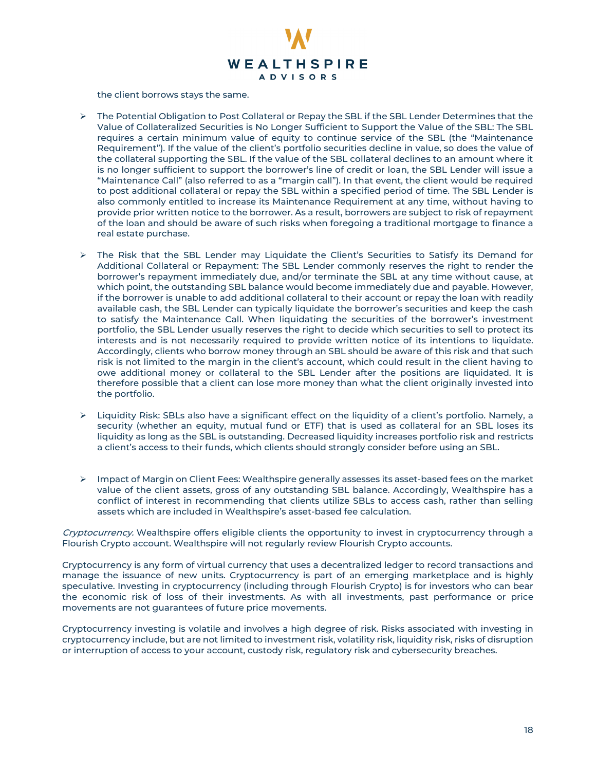

the client borrows stays the same.

- $\triangleright$  The Potential Obligation to Post Collateral or Repay the SBL if the SBL Lender Determines that the Value of Collateralized Securities is No Longer Sufficient to Support the Value of the SBL: The SBL requires a certain minimum value of equity to continue service of the SBL (the "Maintenance Requirement"). If the value of the client's portfolio securities decline in value, so does the value of the collateral supporting the SBL. If the value of the SBL collateral declines to an amount where it is no longer sufficient to support the borrower's line of credit or loan, the SBL Lender will issue a "Maintenance Call" (also referred to as a "margin call"). In that event, the client would be required to post additional collateral or repay the SBL within a specified period of time. The SBL Lender is also commonly entitled to increase its Maintenance Requirement at any time, without having to provide prior written notice to the borrower. As a result, borrowers are subject to risk of repayment of the loan and should be aware of such risks when foregoing a traditional mortgage to finance a real estate purchase.
- The Risk that the SBL Lender may Liquidate the Client's Securities to Satisfy its Demand for Additional Collateral or Repayment: The SBL Lender commonly reserves the right to render the borrower's repayment immediately due, and/or terminate the SBL at any time without cause, at which point, the outstanding SBL balance would become immediately due and payable. However, if the borrower is unable to add additional collateral to their account or repay the loan with readily available cash, the SBL Lender can typically liquidate the borrower's securities and keep the cash to satisfy the Maintenance Call. When liquidating the securities of the borrower's investment portfolio, the SBL Lender usually reserves the right to decide which securities to sell to protect its interests and is not necessarily required to provide written notice of its intentions to liquidate. Accordingly, clients who borrow money through an SBL should be aware of this risk and that such risk is not limited to the margin in the client's account, which could result in the client having to owe additional money or collateral to the SBL Lender after the positions are liquidated. It is therefore possible that a client can lose more money than what the client originally invested into the portfolio.
- $\triangleright$  Liquidity Risk: SBLs also have a significant effect on the liquidity of a client's portfolio. Namely, a security (whether an equity, mutual fund or ETF) that is used as collateral for an SBL loses its liquidity as long as the SBL is outstanding. Decreased liquidity increases portfolio risk and restricts a client's access to their funds, which clients should strongly consider before using an SBL.
- $\triangleright$  Impact of Margin on Client Fees: Wealthspire generally assesses its asset-based fees on the market value of the client assets, gross of any outstanding SBL balance. Accordingly, Wealthspire has a conflict of interest in recommending that clients utilize SBLs to access cash, rather than selling assets which are included in Wealthspire's asset-based fee calculation.

Cryptocurrency. Wealthspire offers eligible clients the opportunity to invest in cryptocurrency through a Flourish Crypto account. Wealthspire will not regularly review Flourish Crypto accounts.

Cryptocurrency is any form of virtual currency that uses a decentralized ledger to record transactions and manage the issuance of new units. Cryptocurrency is part of an emerging marketplace and is highly speculative. Investing in cryptocurrency (including through Flourish Crypto) is for investors who can bear the economic risk of loss of their investments. As with all investments, past performance or price movements are not guarantees of future price movements.

<span id="page-17-0"></span>Cryptocurrency investing is volatile and involves a high degree of risk. Risks associated with investing in cryptocurrency include, but are not limited to investment risk, volatility risk, liquidity risk, risks of disruption or interruption of access to your account, custody risk, regulatory risk and cybersecurity breaches.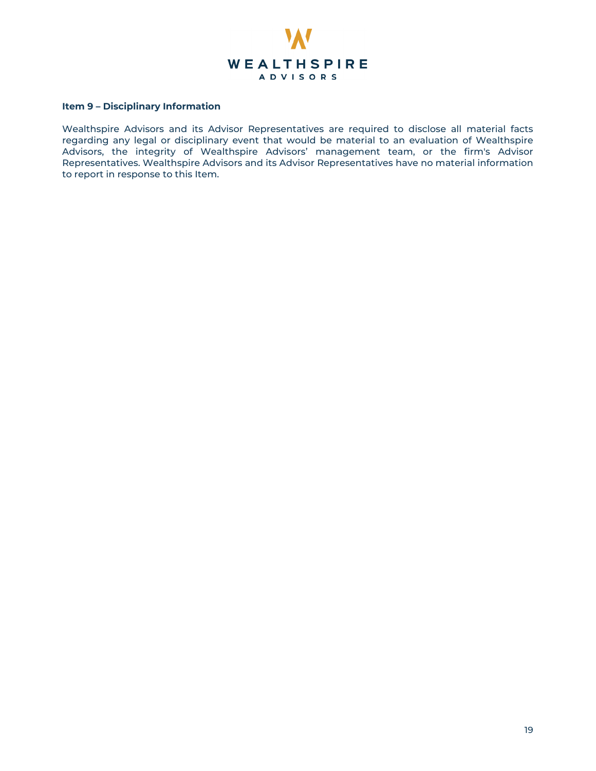

# **Item 9 – Disciplinary Information**

Wealthspire Advisors and its Advisor Representatives are required to disclose all material facts regarding any legal or disciplinary event that would be material to an evaluation of Wealthspire Advisors, the integrity of Wealthspire Advisors' management team, or the firm's Advisor Representatives. Wealthspire Advisors and its Advisor Representatives have no material information to report in response to this Item.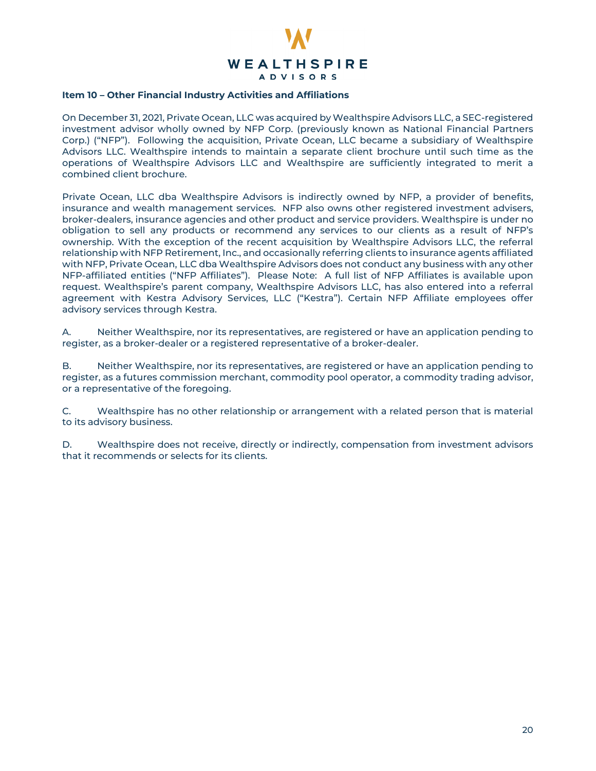

# **Item 10 – Other Financial Industry Activities and Affiliations**

On December 31, 2021, Private Ocean, LLC was acquired by Wealthspire Advisors LLC, a SEC-registered investment advisor wholly owned by NFP Corp. (previously known as National Financial Partners Corp.) ("NFP"). Following the acquisition, Private Ocean, LLC became a subsidiary of Wealthspire Advisors LLC. Wealthspire intends to maintain a separate client brochure until such time as the operations of Wealthspire Advisors LLC and Wealthspire are sufficiently integrated to merit a combined client brochure.

Private Ocean, LLC dba Wealthspire Advisors is indirectly owned by NFP, a provider of benefits, insurance and wealth management services. NFP also owns other registered investment advisers, broker-dealers, insurance agencies and other product and service providers. Wealthspire is under no obligation to sell any products or recommend any services to our clients as a result of NFP's ownership. With the exception of the recent acquisition by Wealthspire Advisors LLC, the referral relationship with NFP Retirement, Inc., and occasionally referring clients to insurance agents affiliated with NFP, Private Ocean, LLC dba Wealthspire Advisors does not conduct any business with any other NFP-affiliated entities ("NFP Affiliates"). Please Note: A full list of NFP Affiliates is available upon request. Wealthspire's parent company, Wealthspire Advisors LLC, has also entered into a referral agreement with Kestra Advisory Services, LLC ("Kestra"). Certain NFP Affiliate employees offer advisory services through Kestra.

A. Neither Wealthspire, nor its representatives, are registered or have an application pending to register, as a broker-dealer or a registered representative of a broker-dealer.

B. Neither Wealthspire, nor its representatives, are registered or have an application pending to register, as a futures commission merchant, commodity pool operator, a commodity trading advisor, or a representative of the foregoing.

C. Wealthspire has no other relationship or arrangement with a related person that is material to its advisory business.

D. Wealthspire does not receive, directly or indirectly, compensation from investment advisors that it recommends or selects for its clients.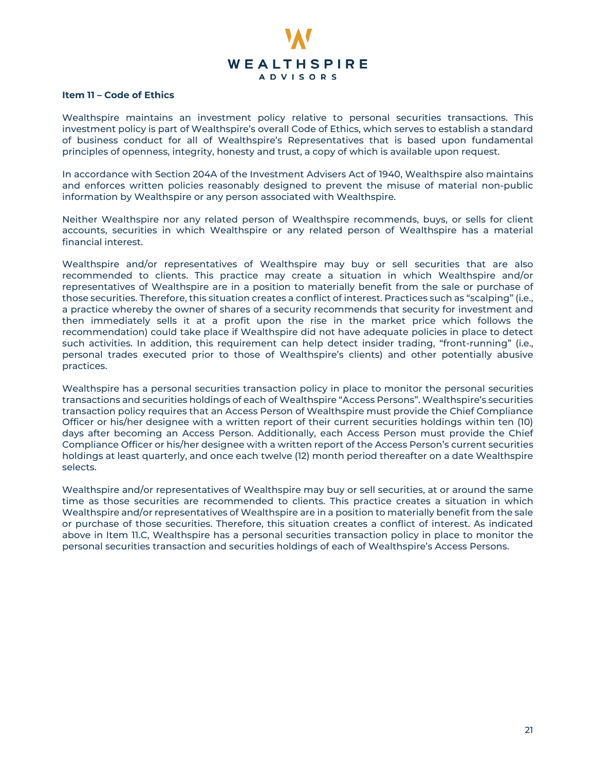

#### **Item 11 – Code of Ethics**

Wealthspire maintains an investment policy relative to personal securities transactions. This investment policy is part of Wealthspire's overall Code of Ethics, which serves to establish a standard of business conduct for all of Wealthspire's Representatives that is based upon fundamental principles of openness, integrity, honesty and trust, a copy of which is available upon request.

In accordance with Section 204A of the Investment Advisers Act of 1940, Wealthspire also maintains and enforces written policies reasonably designed to prevent the misuse of material non-public information by Wealthspire or any person associated with Wealthspire.

Neither Wealthspire nor any related person of Wealthspire recommends, buys, or sells for client accounts, securities in which Wealthspire or any related person of Wealthspire has a material financial interest.

Wealthspire and/or representatives of Wealthspire may buy or sell securities that are also recommended to clients. This practice may create a situation in which Wealthspire and/or representatives of Wealthspire are in a position to materially benefit from the sale or purchase of those securities. Therefore, this situation creates a conflict of interest. Practices such as "scalping" (i.e., a practice whereby the owner of shares of a security recommends that security for investment and then immediately sells it at a profit upon the rise in the market price which follows the recommendation) could take place if Wealthspire did not have adequate policies in place to detect such activities. In addition, this requirement can help detect insider trading, "front-running" (i.e., personal trades executed prior to those of Wealthspire's clients) and other potentially abusive practices.

Wealthspire has a personal securities transaction policy in place to monitor the personal securities transactions and securities holdings of each of Wealthspire "Access Persons". Wealthspire's securities transaction policy requires that an Access Person of Wealthspire must provide the Chief Compliance Officer or his/her designee with a written report of their current securities holdings within ten (10) days after becoming an Access Person. Additionally, each Access Person must provide the Chief Compliance Officer or his/her designee with a written report of the Access Person's current securities holdings at least quarterly, and once each twelve (12) month period thereafter on a date Wealthspire selects.

Wealthspire and/or representatives of Wealthspire may buy or sell securities, at or around the same time as those securities are recommended to clients. This practice creates a situation in which Wealthspire and/or representatives of Wealthspire are in a position to materially benefit from the sale or purchase of those securities. Therefore, this situation creates a conflict of interest. As indicated above in Item 11.C, Wealthspire has a personal securities transaction policy in place to monitor the personal securities transaction and securities holdings of each of Wealthspire's Access Persons.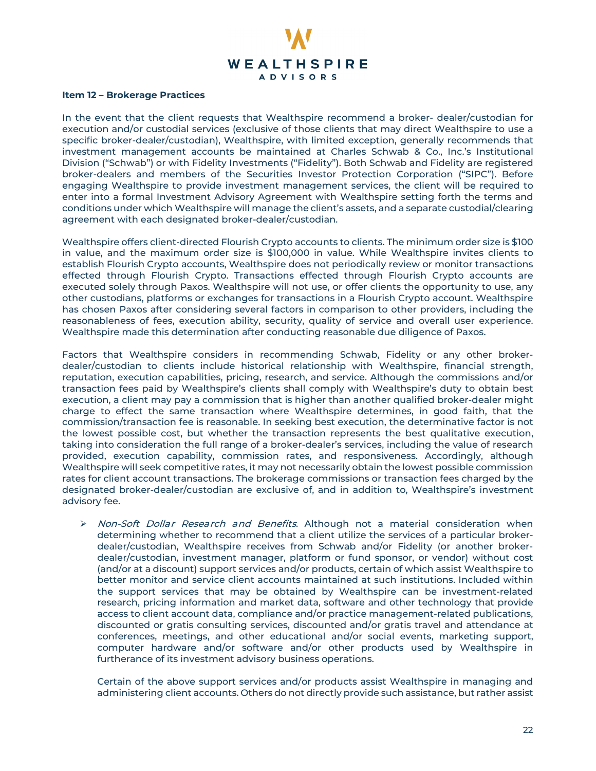

# **Item 12 – Brokerage Practices**

In the event that the client requests that Wealthspire recommend a broker- dealer/custodian for execution and/or custodial services (exclusive of those clients that may direct Wealthspire to use a specific broker-dealer/custodian), Wealthspire, with limited exception, generally recommends that investment management accounts be maintained at Charles Schwab & Co., Inc.'s Institutional Division ("Schwab") or with Fidelity Investments ("Fidelity"). Both Schwab and Fidelity are registered broker-dealers and members of the Securities Investor Protection Corporation ("SIPC"). Before engaging Wealthspire to provide investment management services, the client will be required to enter into a formal Investment Advisory Agreement with Wealthspire setting forth the terms and conditions under which Wealthspire will manage the client's assets, and a separate custodial/clearing agreement with each designated broker-dealer/custodian.

Wealthspire offers client-directed Flourish Crypto accounts to clients. The minimum order size is \$100 in value, and the maximum order size is \$100,000 in value. While Wealthspire invites clients to establish Flourish Crypto accounts, Wealthspire does not periodically review or monitor transactions effected through Flourish Crypto. Transactions effected through Flourish Crypto accounts are executed solely through Paxos. Wealthspire will not use, or offer clients the opportunity to use, any other custodians, platforms or exchanges for transactions in a Flourish Crypto account. Wealthspire has chosen Paxos after considering several factors in comparison to other providers, including the reasonableness of fees, execution ability, security, quality of service and overall user experience. Wealthspire made this determination after conducting reasonable due diligence of Paxos.

Factors that Wealthspire considers in recommending Schwab, Fidelity or any other brokerdealer/custodian to clients include historical relationship with Wealthspire, financial strength, reputation, execution capabilities, pricing, research, and service. Although the commissions and/or transaction fees paid by Wealthspire's clients shall comply with Wealthspire's duty to obtain best execution, a client may pay a commission that is higher than another qualified broker-dealer might charge to effect the same transaction where Wealthspire determines, in good faith, that the commission/transaction fee is reasonable. In seeking best execution, the determinative factor is not the lowest possible cost, but whether the transaction represents the best qualitative execution, taking into consideration the full range of a broker-dealer's services, including the value of research provided, execution capability, commission rates, and responsiveness. Accordingly, although Wealthspire will seek competitive rates, it may not necessarily obtain the lowest possible commission rates for client account transactions. The brokerage commissions or transaction fees charged by the designated broker-dealer/custodian are exclusive of, and in addition to, Wealthspire's investment advisory fee.

 $\triangleright$  Non-Soft Dollar Research and Benefits. Although not a material consideration when determining whether to recommend that a client utilize the services of a particular brokerdealer/custodian, Wealthspire receives from Schwab and/or Fidelity (or another brokerdealer/custodian, investment manager, platform or fund sponsor, or vendor) without cost (and/or at a discount) support services and/or products, certain of which assist Wealthspire to better monitor and service client accounts maintained at such institutions. Included within the support services that may be obtained by Wealthspire can be investment-related research, pricing information and market data, software and other technology that provide access to client account data, compliance and/or practice management-related publications, discounted or gratis consulting services, discounted and/or gratis travel and attendance at conferences, meetings, and other educational and/or social events, marketing support, computer hardware and/or software and/or other products used by Wealthspire in furtherance of its investment advisory business operations.

Certain of the above support services and/or products assist Wealthspire in managing and administering client accounts. Others do not directly provide such assistance, but rather assist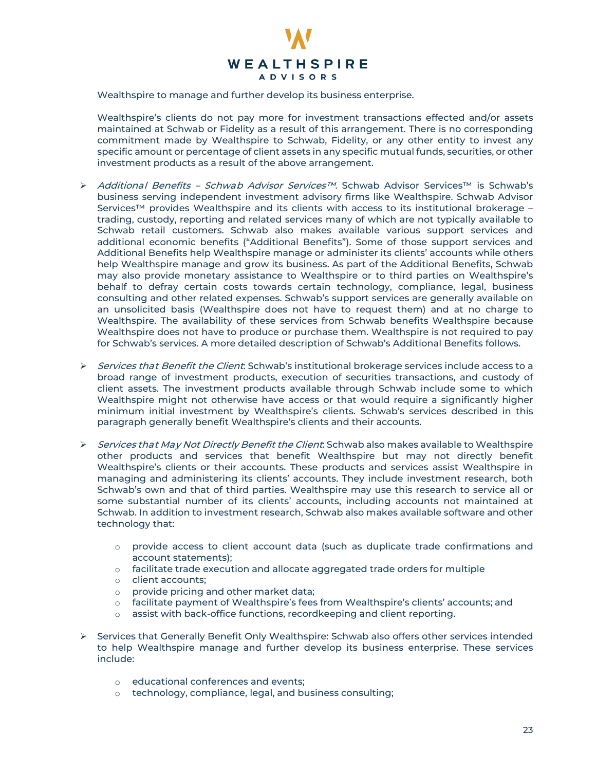

Wealthspire to manage and further develop its business enterprise.

Wealthspire's clients do not pay more for investment transactions effected and/or assets maintained at Schwab or Fidelity as a result of this arrangement. There is no corresponding commitment made by Wealthspire to Schwab, Fidelity, or any other entity to invest any specific amount or percentage of client assets in any specific mutual funds, securities, or other investment products as a result of the above arrangement.

- Additional Benefits Schwab Advisor Services™. Schwab Advisor Services™ is Schwab's business serving independent investment advisory firms like Wealthspire. Schwab Advisor Services™ provides Wealthspire and its clients with access to its institutional brokerage – trading, custody, reporting and related services many of which are not typically available to Schwab retail customers. Schwab also makes available various support services and additional economic benefits ("Additional Benefits"). Some of those support services and Additional Benefits help Wealthspire manage or administer its clients' accounts while others help Wealthspire manage and grow its business. As part of the Additional Benefits, Schwab may also provide monetary assistance to Wealthspire or to third parties on Wealthspire's behalf to defray certain costs towards certain technology, compliance, legal, business consulting and other related expenses. Schwab's support services are generally available on an unsolicited basis (Wealthspire does not have to request them) and at no charge to Wealthspire. The availability of these services from Schwab benefits Wealthspire because Wealthspire does not have to produce or purchase them. Wealthspire is not required to pay for Schwab's services. A more detailed description of Schwab's Additional Benefits follows.
- $\triangleright$  Services that Benefit the Client: Schwab's institutional brokerage services include access to a broad range of investment products, execution of securities transactions, and custody of client assets. The investment products available through Schwab include some to which Wealthspire might not otherwise have access or that would require a significantly higher minimum initial investment by Wealthspire's clients. Schwab's services described in this paragraph generally benefit Wealthspire's clients and their accounts.
- $\triangleright$  Services that May Not Directly Benefit the Client: Schwab also makes available to Wealthspire other products and services that benefit Wealthspire but may not directly benefit Wealthspire's clients or their accounts. These products and services assist Wealthspire in managing and administering its clients' accounts. They include investment research, both Schwab's own and that of third parties. Wealthspire may use this research to service all or some substantial number of its clients' accounts, including accounts not maintained at Schwab. In addition to investment research, Schwab also makes available software and other technology that:
	- o provide access to client account data (such as duplicate trade confirmations and account statements);
	- o facilitate trade execution and allocate aggregated trade orders for multiple
	- o client accounts;
	- o provide pricing and other market data;
	- $\circ$  facilitate payment of Wealthspire's fees from Wealthspire's clients' accounts; and
	- assist with back-office functions, recordkeeping and client reporting.
- $\triangleright$  Services that Generally Benefit Only Wealthspire: Schwab also offers other services intended to help Wealthspire manage and further develop its business enterprise. These services include:
	- o educational conferences and events;
	- o technology, compliance, legal, and business consulting;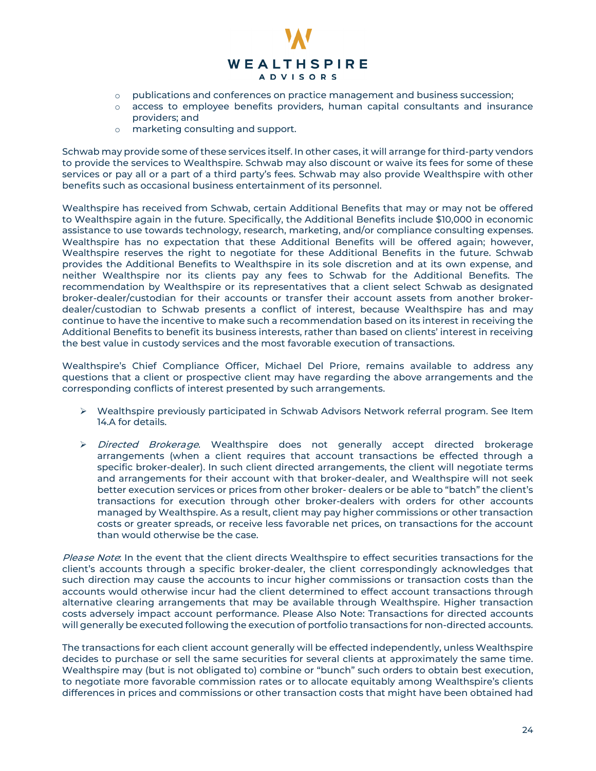

- $\circ$  publications and conferences on practice management and business succession;
- $\circ$  access to employee benefits providers, human capital consultants and insurance providers; and
- o marketing consulting and support.

Schwab may provide some of these services itself. In other cases, it will arrange for third-party vendors to provide the services to Wealthspire. Schwab may also discount or waive its fees for some of these services or pay all or a part of a third party's fees. Schwab may also provide Wealthspire with other benefits such as occasional business entertainment of its personnel.

Wealthspire has received from Schwab, certain Additional Benefits that may or may not be offered to Wealthspire again in the future. Specifically, the Additional Benefits include \$10,000 in economic assistance to use towards technology, research, marketing, and/or compliance consulting expenses. Wealthspire has no expectation that these Additional Benefits will be offered again; however, Wealthspire reserves the right to negotiate for these Additional Benefits in the future. Schwab provides the Additional Benefits to Wealthspire in its sole discretion and at its own expense, and neither Wealthspire nor its clients pay any fees to Schwab for the Additional Benefits. The recommendation by Wealthspire or its representatives that a client select Schwab as designated broker-dealer/custodian for their accounts or transfer their account assets from another brokerdealer/custodian to Schwab presents a conflict of interest, because Wealthspire has and may continue to have the incentive to make such a recommendation based on its interest in receiving the Additional Benefits to benefit its business interests, rather than based on clients' interest in receiving the best value in custody services and the most favorable execution of transactions.

Wealthspire's Chief Compliance Officer, Michael Del Priore, remains available to address any questions that a client or prospective client may have regarding the above arrangements and the corresponding conflicts of interest presented by such arrangements.

- $\triangleright$  Wealthspire previously participated in Schwab Advisors Network referral program. See Item 14.A for details.
- > Directed Brokerage. Wealthspire does not generally accept directed brokerage arrangements (when a client requires that account transactions be effected through a specific broker-dealer). In such client directed arrangements, the client will negotiate terms and arrangements for their account with that broker-dealer, and Wealthspire will not seek better execution services or prices from other broker- dealers or be able to "batch" the client's transactions for execution through other broker-dealers with orders for other accounts managed by Wealthspire. As a result, client may pay higher commissions or other transaction costs or greater spreads, or receive less favorable net prices, on transactions for the account than would otherwise be the case.

Please Note: In the event that the client directs Wealthspire to effect securities transactions for the client's accounts through a specific broker-dealer, the client correspondingly acknowledges that such direction may cause the accounts to incur higher commissions or transaction costs than the accounts would otherwise incur had the client determined to effect account transactions through alternative clearing arrangements that may be available through Wealthspire. Higher transaction costs adversely impact account performance. Please Also Note: Transactions for directed accounts will generally be executed following the execution of portfolio transactions for non-directed accounts.

The transactions for each client account generally will be effected independently, unless Wealthspire decides to purchase or sell the same securities for several clients at approximately the same time. Wealthspire may (but is not obligated to) combine or "bunch" such orders to obtain best execution, to negotiate more favorable commission rates or to allocate equitably among Wealthspire's clients differences in prices and commissions or other transaction costs that might have been obtained had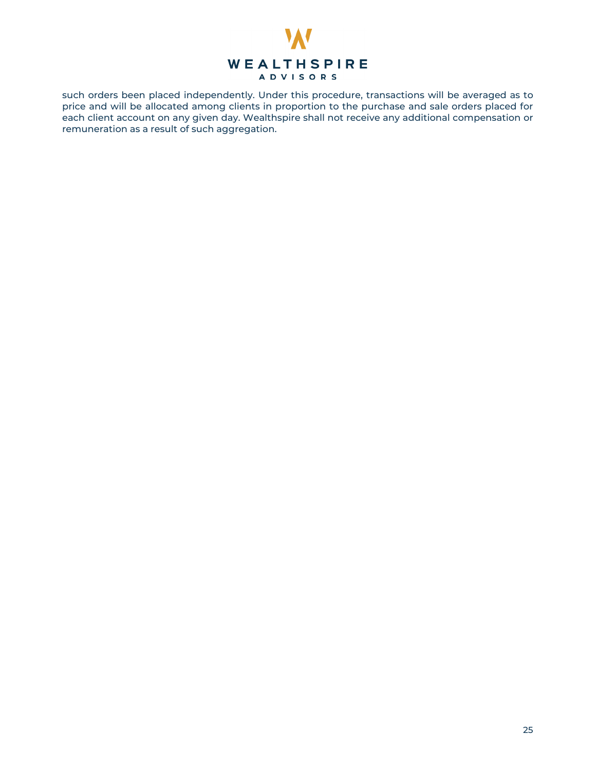

<span id="page-24-0"></span>such orders been placed independently. Under this procedure, transactions will be averaged as to price and will be allocated among clients in proportion to the purchase and sale orders placed for each client account on any given day. Wealthspire shall not receive any additional compensation or remuneration as a result of such aggregation.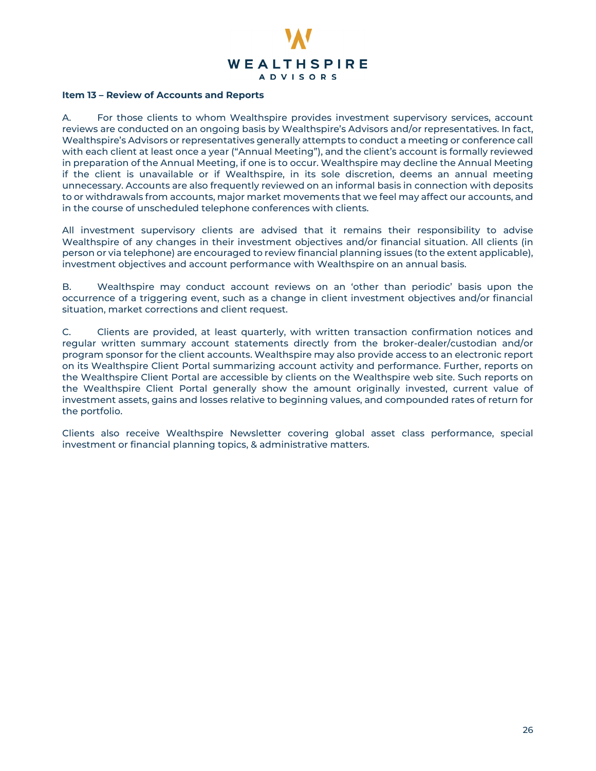

# **Item 13 – Review of Accounts and Reports**

A. For those clients to whom Wealthspire provides investment supervisory services, account reviews are conducted on an ongoing basis by Wealthspire's Advisors and/or representatives. In fact, Wealthspire's Advisors or representatives generally attempts to conduct a meeting or conference call with each client at least once a year ("Annual Meeting"), and the client's account is formally reviewed in preparation of the Annual Meeting, if one is to occur. Wealthspire may decline the Annual Meeting if the client is unavailable or if Wealthspire, in its sole discretion, deems an annual meeting unnecessary. Accounts are also frequently reviewed on an informal basis in connection with deposits to or withdrawals from accounts, major market movements that we feel may affect our accounts, and in the course of unscheduled telephone conferences with clients.

All investment supervisory clients are advised that it remains their responsibility to advise Wealthspire of any changes in their investment objectives and/or financial situation. All clients (in person or via telephone) are encouraged to review financial planning issues (to the extent applicable), investment objectives and account performance with Wealthspire on an annual basis.

B. Wealthspire may conduct account reviews on an 'other than periodic' basis upon the occurrence of a triggering event, such as a change in client investment objectives and/or financial situation, market corrections and client request.

C. Clients are provided, at least quarterly, with written transaction confirmation notices and regular written summary account statements directly from the broker-dealer/custodian and/or program sponsor for the client accounts. Wealthspire may also provide access to an electronic report on its Wealthspire Client Portal summarizing account activity and performance. Further, reports on the Wealthspire Client Portal are accessible by clients on the Wealthspire web site. Such reports on the Wealthspire Client Portal generally show the amount originally invested, current value of investment assets, gains and losses relative to beginning values, and compounded rates of return for the portfolio.

<span id="page-25-0"></span>Clients also receive Wealthspire Newsletter covering global asset class performance, special investment or financial planning topics, & administrative matters.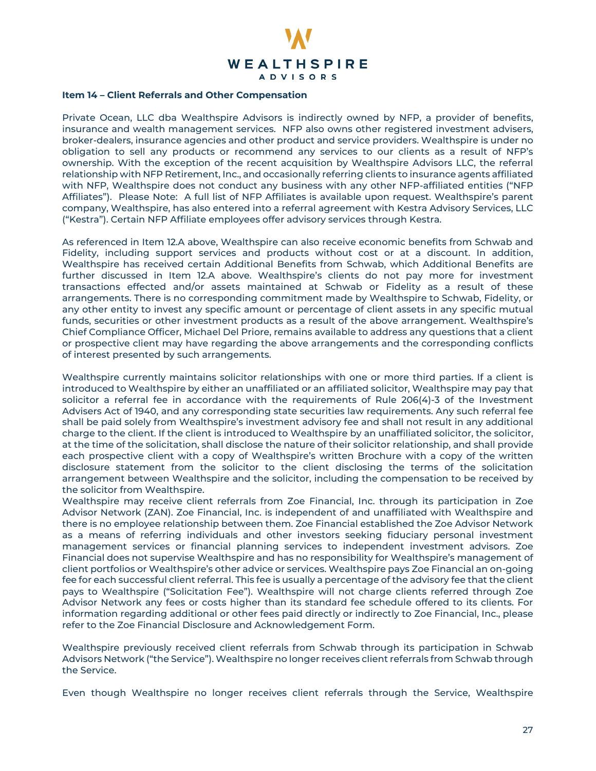

# **Item 14 – Client Referrals and Other Compensation**

Private Ocean, LLC dba Wealthspire Advisors is indirectly owned by NFP, a provider of benefits, insurance and wealth management services. NFP also owns other registered investment advisers, broker-dealers, insurance agencies and other product and service providers. Wealthspire is under no obligation to sell any products or recommend any services to our clients as a result of NFP's ownership. With the exception of the recent acquisition by Wealthspire Advisors LLC, the referral relationship with NFP Retirement, Inc., and occasionally referring clients to insurance agents affiliated with NFP, Wealthspire does not conduct any business with any other NFP-affiliated entities ("NFP Affiliates"). Please Note: A full list of NFP Affiliates is available upon request. Wealthspire's parent company, Wealthspire, has also entered into a referral agreement with Kestra Advisory Services, LLC ("Kestra"). Certain NFP Affiliate employees offer advisory services through Kestra.

As referenced in Item 12.A above, Wealthspire can also receive economic benefits from Schwab and Fidelity, including support services and products without cost or at a discount. In addition, Wealthspire has received certain Additional Benefits from Schwab, which Additional Benefits are further discussed in Item 12.A above. Wealthspire's clients do not pay more for investment transactions effected and/or assets maintained at Schwab or Fidelity as a result of these arrangements. There is no corresponding commitment made by Wealthspire to Schwab, Fidelity, or any other entity to invest any specific amount or percentage of client assets in any specific mutual funds, securities or other investment products as a result of the above arrangement. Wealthspire's Chief Compliance Officer, Michael Del Priore, remains available to address any questions that a client or prospective client may have regarding the above arrangements and the corresponding conflicts of interest presented by such arrangements.

Wealthspire currently maintains solicitor relationships with one or more third parties. If a client is introduced to Wealthspire by either an unaffiliated or an affiliated solicitor, Wealthspire may pay that solicitor a referral fee in accordance with the requirements of Rule 206(4)-3 of the Investment Advisers Act of 1940, and any corresponding state securities law requirements. Any such referral fee shall be paid solely from Wealthspire's investment advisory fee and shall not result in any additional charge to the client. If the client is introduced to Wealthspire by an unaffiliated solicitor, the solicitor, at the time of the solicitation, shall disclose the nature of their solicitor relationship, and shall provide each prospective client with a copy of Wealthspire's written Brochure with a copy of the written disclosure statement from the solicitor to the client disclosing the terms of the solicitation arrangement between Wealthspire and the solicitor, including the compensation to be received by the solicitor from Wealthspire.

Wealthspire may receive client referrals from Zoe Financial, Inc. through its participation in Zoe Advisor Network (ZAN). Zoe Financial, Inc. is independent of and unaffiliated with Wealthspire and there is no employee relationship between them. Zoe Financial established the Zoe Advisor Network as a means of referring individuals and other investors seeking fiduciary personal investment management services or financial planning services to independent investment advisors. Zoe Financial does not supervise Wealthspire and has no responsibility for Wealthspire's management of client portfolios or Wealthspire's other advice or services. Wealthspire pays Zoe Financial an on-going fee for each successful client referral. This fee is usually a percentage of the advisory fee that the client pays to Wealthspire ("Solicitation Fee"). Wealthspire will not charge clients referred through Zoe Advisor Network any fees or costs higher than its standard fee schedule offered to its clients. For information regarding additional or other fees paid directly or indirectly to Zoe Financial, Inc., please refer to the Zoe Financial Disclosure and Acknowledgement Form.

Wealthspire previously received client referrals from Schwab through its participation in Schwab Advisors Network ("the Service"). Wealthspire no longer receives client referrals from Schwab through the Service.

Even though Wealthspire no longer receives client referrals through the Service, Wealthspire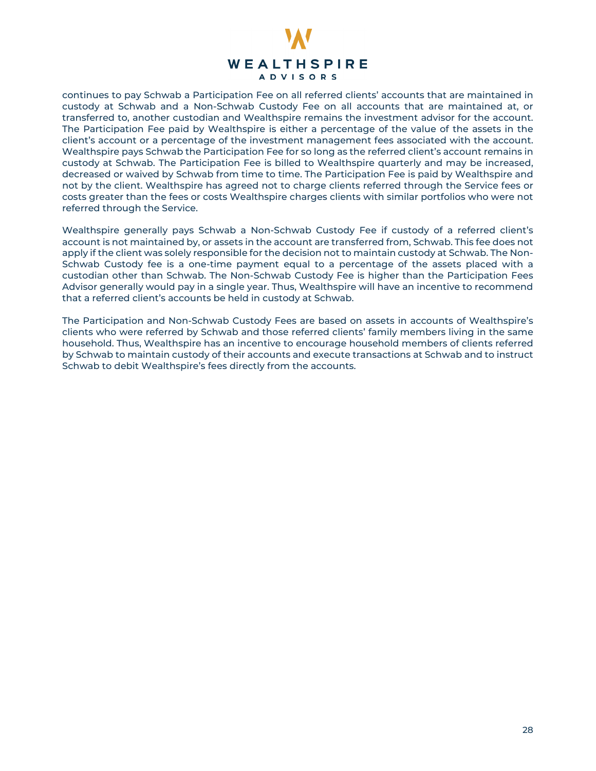

continues to pay Schwab a Participation Fee on all referred clients' accounts that are maintained in custody at Schwab and a Non-Schwab Custody Fee on all accounts that are maintained at, or transferred to, another custodian and Wealthspire remains the investment advisor for the account. The Participation Fee paid by Wealthspire is either a percentage of the value of the assets in the client's account or a percentage of the investment management fees associated with the account. Wealthspire pays Schwab the Participation Fee for so long as the referred client's account remains in custody at Schwab. The Participation Fee is billed to Wealthspire quarterly and may be increased, decreased or waived by Schwab from time to time. The Participation Fee is paid by Wealthspire and not by the client. Wealthspire has agreed not to charge clients referred through the Service fees or costs greater than the fees or costs Wealthspire charges clients with similar portfolios who were not referred through the Service.

Wealthspire generally pays Schwab a Non-Schwab Custody Fee if custody of a referred client's account is not maintained by, or assets in the account are transferred from, Schwab. This fee does not apply if the client was solely responsible for the decision not to maintain custody at Schwab. The Non-Schwab Custody fee is a one-time payment equal to a percentage of the assets placed with a custodian other than Schwab. The Non-Schwab Custody Fee is higher than the Participation Fees Advisor generally would pay in a single year. Thus, Wealthspire will have an incentive to recommend that a referred client's accounts be held in custody at Schwab.

<span id="page-27-0"></span>The Participation and Non-Schwab Custody Fees are based on assets in accounts of Wealthspire's clients who were referred by Schwab and those referred clients' family members living in the same household. Thus, Wealthspire has an incentive to encourage household members of clients referred by Schwab to maintain custody of their accounts and execute transactions at Schwab and to instruct Schwab to debit Wealthspire's fees directly from the accounts.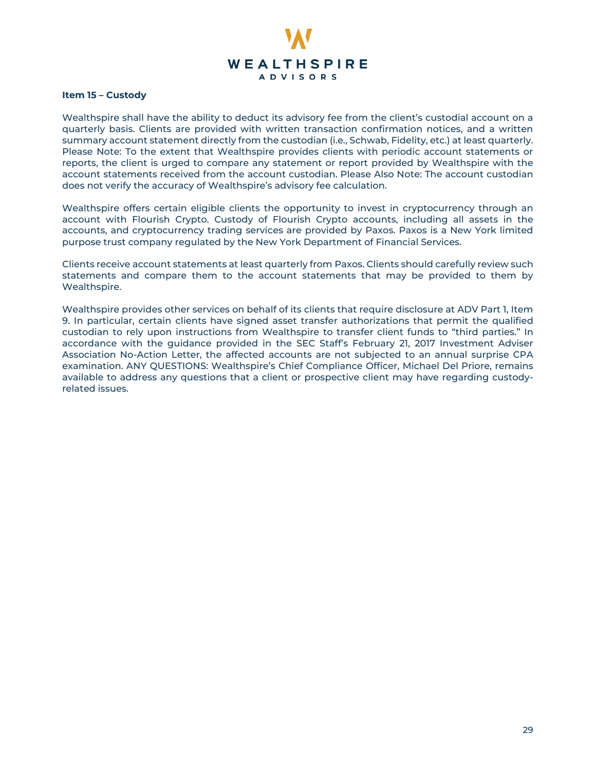

# **Item 15 – Custody**

Wealthspire shall have the ability to deduct its advisory fee from the client's custodial account on a quarterly basis. Clients are provided with written transaction confirmation notices, and a written summary account statement directly from the custodian (i.e., Schwab, Fidelity, etc.) at least quarterly. Please Note: To the extent that Wealthspire provides clients with periodic account statements or reports, the client is urged to compare any statement or report provided by Wealthspire with the account statements received from the account custodian. Please Also Note: The account custodian does not verify the accuracy of Wealthspire's advisory fee calculation.

Wealthspire offers certain eligible clients the opportunity to invest in cryptocurrency through an account with Flourish Crypto. Custody of Flourish Crypto accounts, including all assets in the accounts, and cryptocurrency trading services are provided by Paxos. Paxos is a New York limited purpose trust company regulated by the New York Department of Financial Services.

Clients receive account statements at least quarterly from Paxos. Clients should carefully review such statements and compare them to the account statements that may be provided to them by Wealthspire.

<span id="page-28-0"></span>Wealthspire provides other services on behalf of its clients that require disclosure at ADV Part 1, Item 9. In particular, certain clients have signed asset transfer authorizations that permit the qualified custodian to rely upon instructions from Wealthspire to transfer client funds to "third parties." In accordance with the guidance provided in the SEC Staff's February 21, 2017 Investment Adviser Association No-Action Letter, the affected accounts are not subjected to an annual surprise CPA examination. ANY QUESTIONS: Wealthspire's Chief Compliance Officer, Michael Del Priore, remains available to address any questions that a client or prospective client may have regarding custodyrelated issues.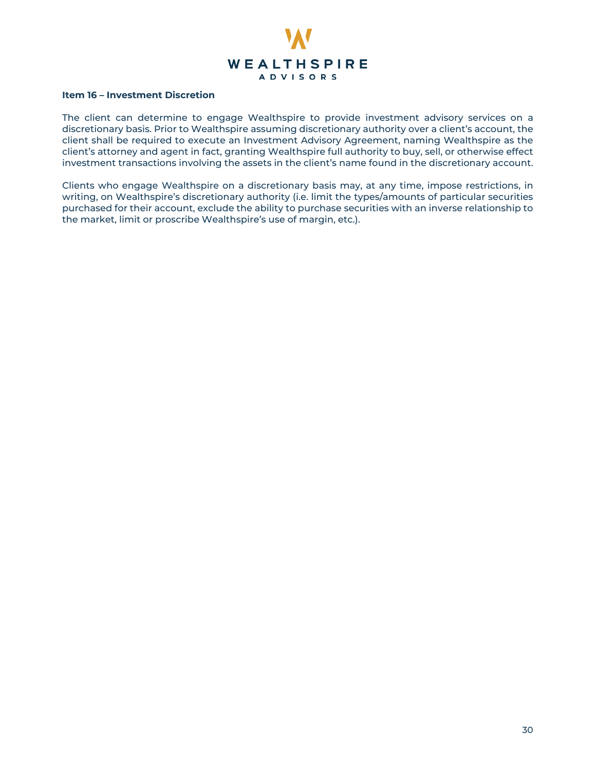

#### **Item 16 – Investment Discretion**

The client can determine to engage Wealthspire to provide investment advisory services on a discretionary basis. Prior to Wealthspire assuming discretionary authority over a client's account, the client shall be required to execute an Investment Advisory Agreement, naming Wealthspire as the client's attorney and agent in fact, granting Wealthspire full authority to buy, sell, or otherwise effect investment transactions involving the assets in the client's name found in the discretionary account.

<span id="page-29-0"></span>Clients who engage Wealthspire on a discretionary basis may, at any time, impose restrictions, in writing, on Wealthspire's discretionary authority (i.e. limit the types/amounts of particular securities purchased for their account, exclude the ability to purchase securities with an inverse relationship to the market, limit or proscribe Wealthspire's use of margin, etc.).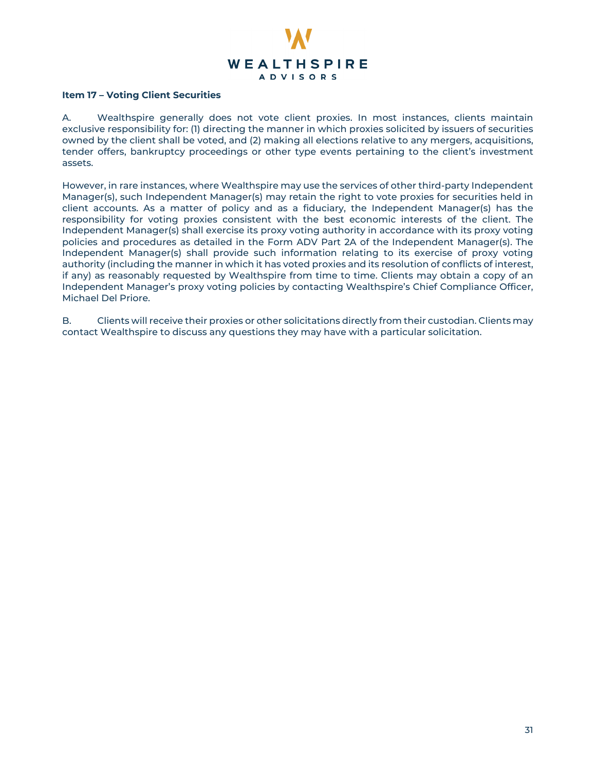

# **Item 17 – Voting Client Securities**

<span id="page-30-0"></span>A. Wealthspire generally does not vote client proxies. In most instances, clients maintain exclusive responsibility for: (1) directing the manner in which proxies solicited by issuers of securities owned by the client shall be voted, and (2) making all elections relative to any mergers, acquisitions, tender offers, bankruptcy proceedings or other type events pertaining to the client's investment assets.

However, in rare instances, where Wealthspire may use the services of other third-party Independent Manager(s), such Independent Manager(s) may retain the right to vote proxies for securities held in client accounts. As a matter of policy and as a fiduciary, the Independent Manager(s) has the responsibility for voting proxies consistent with the best economic interests of the client. The Independent Manager(s) shall exercise its proxy voting authority in accordance with its proxy voting policies and procedures as detailed in the Form ADV Part 2A of the Independent Manager(s). The Independent Manager(s) shall provide such information relating to its exercise of proxy voting authority (including the manner in which it has voted proxies and its resolution of conflicts of interest, if any) as reasonably requested by Wealthspire from time to time. Clients may obtain a copy of an Independent Manager's proxy voting policies by contacting Wealthspire's Chief Compliance Officer, Michael Del Priore.

B. Clients will receive their proxies or other solicitations directly from their custodian. Clients may contact Wealthspire to discuss any questions they may have with a particular solicitation.